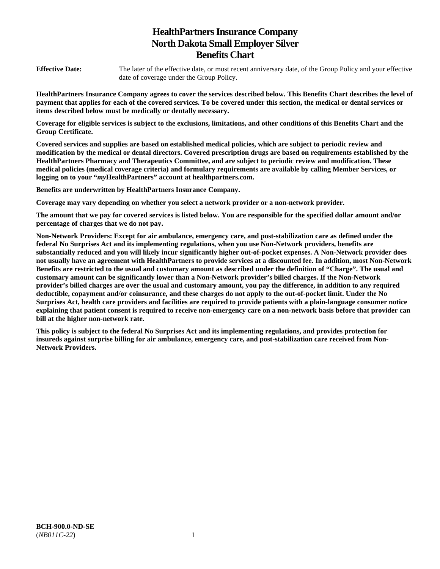# **HealthPartners Insurance Company North Dakota Small Employer Silver Benefits Chart**

**Effective Date:** The later of the effective date, or most recent anniversary date, of the Group Policy and your effective date of coverage under the Group Policy.

**HealthPartners Insurance Company agrees to cover the services described below. This Benefits Chart describes the level of payment that applies for each of the covered services. To be covered under this section, the medical or dental services or items described below must be medically or dentally necessary.** 

**Coverage for eligible services is subject to the exclusions, limitations, and other conditions of this Benefits Chart and the Group Certificate.** 

**Covered services and supplies are based on established medical policies, which are subject to periodic review and modification by the medical or dental directors. Covered prescription drugs are based on requirements established by the HealthPartners Pharmacy and Therapeutics Committee, and are subject to periodic review and modification. These medical policies (medical coverage criteria) and formulary requirements are available by calling Member Services, or logging on to your "***my***HealthPartners" account at [healthpartners.com.](http://healthpartners.com/)** 

**Benefits are underwritten by HealthPartners Insurance Company.** 

**Coverage may vary depending on whether you select a network provider or a non-network provider.** 

**The amount that we pay for covered services is listed below. You are responsible for the specified dollar amount and/or percentage of charges that we do not pay.** 

**Non-Network Providers: Except for air ambulance, emergency care, and post-stabilization care as defined under the federal No Surprises Act and its implementing regulations, when you use Non-Network providers, benefits are substantially reduced and you will likely incur significantly higher out-of-pocket expenses. A Non-Network provider does not usually have an agreement with HealthPartners to provide services at a discounted fee. In addition, most Non-Network Benefits are restricted to the usual and customary amount as described under the definition of "Charge". The usual and customary amount can be significantly lower than a Non-Network provider's billed charges. If the Non-Network provider's billed charges are over the usual and customary amount, you pay the difference, in addition to any required deductible, copayment and/or coinsurance, and these charges do not apply to the out-of-pocket limit. Under the No Surprises Act, health care providers and facilities are required to provide patients with a plain-language consumer notice explaining that patient consent is required to receive non-emergency care on a non-network basis before that provider can bill at the higher non-network rate.** 

**This policy is subject to the federal No Surprises Act and its implementing regulations, and provides protection for insureds against surprise billing for air ambulance, emergency care, and post-stabilization care received from Non-Network Providers.**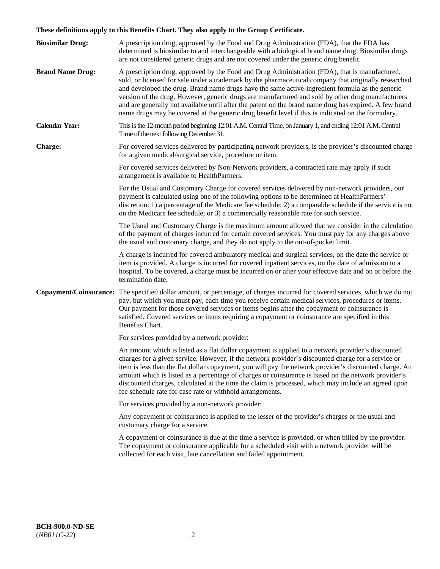# **These definitions apply to this Benefits Chart. They also apply to the Group Certificate.**

| <b>Biosimilar Drug:</b> | A prescription drug, approved by the Food and Drug Administration (FDA), that the FDA has<br>determined is biosimilar to and interchangeable with a biological brand name drug. Biosimilar drugs<br>are not considered generic drugs and are not covered under the generic drug benefit.                                                                                                                                                                                                                                                                                                                                        |
|-------------------------|---------------------------------------------------------------------------------------------------------------------------------------------------------------------------------------------------------------------------------------------------------------------------------------------------------------------------------------------------------------------------------------------------------------------------------------------------------------------------------------------------------------------------------------------------------------------------------------------------------------------------------|
| <b>Brand Name Drug:</b> | A prescription drug, approved by the Food and Drug Administration (FDA), that is manufactured,<br>sold, or licensed for sale under a trademark by the pharmaceutical company that originally researched<br>and developed the drug. Brand name drugs have the same active-ingredient formula as the generic<br>version of the drug. However, generic drugs are manufactured and sold by other drug manufacturers<br>and are generally not available until after the patent on the brand name drug has expired. A few brand<br>name drugs may be covered at the generic drug benefit level if this is indicated on the formulary. |
| <b>Calendar Year:</b>   | This is the 12-month period beginning 12:01 A.M. Central Time, on January 1, and ending 12:01 A.M. Central<br>Time of the next following December 31.                                                                                                                                                                                                                                                                                                                                                                                                                                                                           |
| <b>Charge:</b>          | For covered services delivered by participating network providers, is the provider's discounted charge<br>for a given medical/surgical service, procedure or item.                                                                                                                                                                                                                                                                                                                                                                                                                                                              |
|                         | For covered services delivered by Non-Network providers, a contracted rate may apply if such<br>arrangement is available to HealthPartners.                                                                                                                                                                                                                                                                                                                                                                                                                                                                                     |
|                         | For the Usual and Customary Charge for covered services delivered by non-network providers, our<br>payment is calculated using one of the following options to be determined at HealthPartners'<br>discretion: 1) a percentage of the Medicare fee schedule; 2) a comparable schedule if the service is not<br>on the Medicare fee schedule; or 3) a commercially reasonable rate for such service.                                                                                                                                                                                                                             |
|                         | The Usual and Customary Charge is the maximum amount allowed that we consider in the calculation<br>of the payment of charges incurred for certain covered services. You must pay for any charges above<br>the usual and customary charge, and they do not apply to the out-of-pocket limit.                                                                                                                                                                                                                                                                                                                                    |
|                         | A charge is incurred for covered ambulatory medical and surgical services, on the date the service or<br>item is provided. A charge is incurred for covered inpatient services, on the date of admission to a<br>hospital. To be covered, a charge must be incurred on or after your effective date and on or before the<br>termination date.                                                                                                                                                                                                                                                                                   |
|                         | Copayment/Coinsurance: The specified dollar amount, or percentage, of charges incurred for covered services, which we do not<br>pay, but which you must pay, each time you receive certain medical services, procedures or items.<br>Our payment for those covered services or items begins after the copayment or coinsurance is<br>satisfied. Covered services or items requiring a copayment or coinsurance are specified in this<br>Benefits Chart.                                                                                                                                                                         |
|                         | For services provided by a network provider:                                                                                                                                                                                                                                                                                                                                                                                                                                                                                                                                                                                    |
|                         | An amount which is listed as a flat dollar copayment is applied to a network provider's discounted<br>charges for a given service. However, if the network provider's discounted charge for a service or<br>item is less than the flat dollar copayment, you will pay the network provider's discounted charge. An<br>amount which is listed as a percentage of charges or coinsurance is based on the network provider's<br>discounted charges, calculated at the time the claim is processed, which may include an agreed upon<br>fee schedule rate for case rate or withhold arrangements.                                   |
|                         | For services provided by a non-network provider:                                                                                                                                                                                                                                                                                                                                                                                                                                                                                                                                                                                |
|                         | Any copayment or coinsurance is applied to the lesser of the provider's charges or the usual and<br>customary charge for a service.                                                                                                                                                                                                                                                                                                                                                                                                                                                                                             |
|                         | A copayment or coinsurance is due at the time a service is provided, or when billed by the provider.<br>The copayment or coinsurance applicable for a scheduled visit with a network provider will be<br>collected for each visit, late cancellation and failed appointment.                                                                                                                                                                                                                                                                                                                                                    |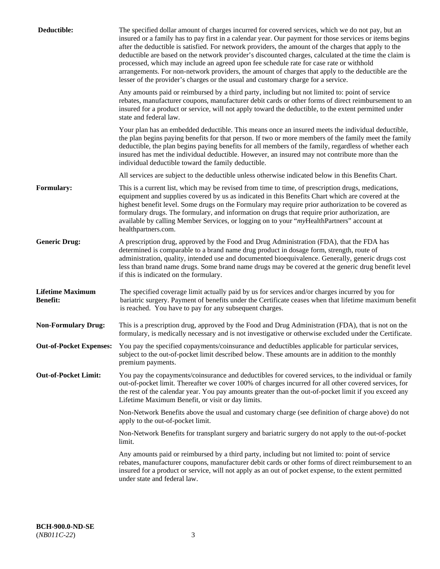| Deductible:                                | The specified dollar amount of charges incurred for covered services, which we do not pay, but an<br>insured or a family has to pay first in a calendar year. Our payment for those services or items begins<br>after the deductible is satisfied. For network providers, the amount of the charges that apply to the<br>deductible are based on the network provider's discounted charges, calculated at the time the claim is<br>processed, which may include an agreed upon fee schedule rate for case rate or withhold<br>arrangements. For non-network providers, the amount of charges that apply to the deductible are the<br>lesser of the provider's charges or the usual and customary charge for a service. |
|--------------------------------------------|------------------------------------------------------------------------------------------------------------------------------------------------------------------------------------------------------------------------------------------------------------------------------------------------------------------------------------------------------------------------------------------------------------------------------------------------------------------------------------------------------------------------------------------------------------------------------------------------------------------------------------------------------------------------------------------------------------------------|
|                                            | Any amounts paid or reimbursed by a third party, including but not limited to: point of service<br>rebates, manufacturer coupons, manufacturer debit cards or other forms of direct reimbursement to an<br>insured for a product or service, will not apply toward the deductible, to the extent permitted under<br>state and federal law.                                                                                                                                                                                                                                                                                                                                                                             |
|                                            | Your plan has an embedded deductible. This means once an insured meets the individual deductible,<br>the plan begins paying benefits for that person. If two or more members of the family meet the family<br>deductible, the plan begins paying benefits for all members of the family, regardless of whether each<br>insured has met the individual deductible. However, an insured may not contribute more than the<br>individual deductible toward the family deductible.                                                                                                                                                                                                                                          |
|                                            | All services are subject to the deductible unless otherwise indicated below in this Benefits Chart.                                                                                                                                                                                                                                                                                                                                                                                                                                                                                                                                                                                                                    |
| <b>Formulary:</b>                          | This is a current list, which may be revised from time to time, of prescription drugs, medications,<br>equipment and supplies covered by us as indicated in this Benefits Chart which are covered at the<br>highest benefit level. Some drugs on the Formulary may require prior authorization to be covered as<br>formulary drugs. The formulary, and information on drugs that require prior authorization, are<br>available by calling Member Services, or logging on to your "myHealthPartners" account at<br>healthpartners.com.                                                                                                                                                                                  |
| <b>Generic Drug:</b>                       | A prescription drug, approved by the Food and Drug Administration (FDA), that the FDA has<br>determined is comparable to a brand name drug product in dosage form, strength, route of<br>administration, quality, intended use and documented bioequivalence. Generally, generic drugs cost<br>less than brand name drugs. Some brand name drugs may be covered at the generic drug benefit level<br>if this is indicated on the formulary.                                                                                                                                                                                                                                                                            |
| <b>Lifetime Maximum</b><br><b>Benefit:</b> | The specified coverage limit actually paid by us for services and/or charges incurred by you for<br>bariatric surgery. Payment of benefits under the Certificate ceases when that lifetime maximum benefit<br>is reached. You have to pay for any subsequent charges.                                                                                                                                                                                                                                                                                                                                                                                                                                                  |
| <b>Non-Formulary Drug:</b>                 | This is a prescription drug, approved by the Food and Drug Administration (FDA), that is not on the<br>formulary, is medically necessary and is not investigative or otherwise excluded under the Certificate.                                                                                                                                                                                                                                                                                                                                                                                                                                                                                                         |
|                                            | Out-of-Pocket Expenses: You pay the specified copayments/coinsurance and deductibles applicable for particular services,<br>subject to the out-of-pocket limit described below. These amounts are in addition to the monthly<br>premium payments.                                                                                                                                                                                                                                                                                                                                                                                                                                                                      |
| <b>Out-of-Pocket Limit:</b>                | You pay the copayments/coinsurance and deductibles for covered services, to the individual or family<br>out-of-pocket limit. Thereafter we cover 100% of charges incurred for all other covered services, for<br>the rest of the calendar year. You pay amounts greater than the out-of-pocket limit if you exceed any<br>Lifetime Maximum Benefit, or visit or day limits.                                                                                                                                                                                                                                                                                                                                            |
|                                            | Non-Network Benefits above the usual and customary charge (see definition of charge above) do not<br>apply to the out-of-pocket limit.                                                                                                                                                                                                                                                                                                                                                                                                                                                                                                                                                                                 |
|                                            | Non-Network Benefits for transplant surgery and bariatric surgery do not apply to the out-of-pocket<br>limit.                                                                                                                                                                                                                                                                                                                                                                                                                                                                                                                                                                                                          |
|                                            | Any amounts paid or reimbursed by a third party, including but not limited to: point of service<br>rebates, manufacturer coupons, manufacturer debit cards or other forms of direct reimbursement to an<br>insured for a product or service, will not apply as an out of pocket expense, to the extent permitted<br>under state and federal law.                                                                                                                                                                                                                                                                                                                                                                       |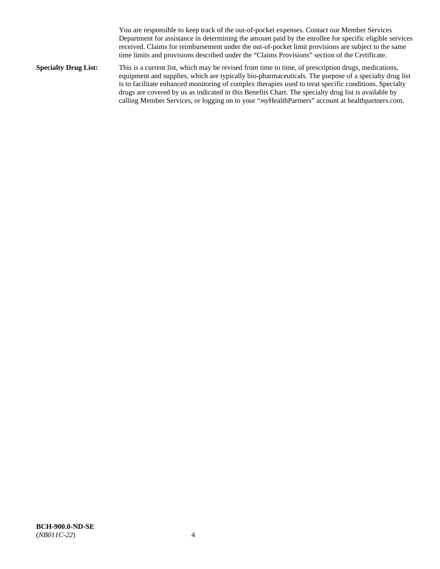You are responsible to keep track of the out-of-pocket expenses. Contact our Member Services Department for assistance in determining the amount paid by the enrollee for specific eligible services received. Claims for reimbursement under the out-of-pocket limit provisions are subject to the same time limits and provisions described under the "Claims Provisions" section of the Certificate.

**Specialty Drug List:** This is a current list, which may be revised from time to time, of prescription drugs, medications, equipment and supplies, which are typically bio-pharmaceuticals. The purpose of a specialty drug list is to facilitate enhanced monitoring of complex therapies used to treat specific conditions. Specialty drugs are covered by us as indicated in this Benefits Chart. The specialty drug list is available by calling Member Services, or logging on to your "*my*HealthPartners" account at [healthpartners.com.](http://www.healthpartners.com/)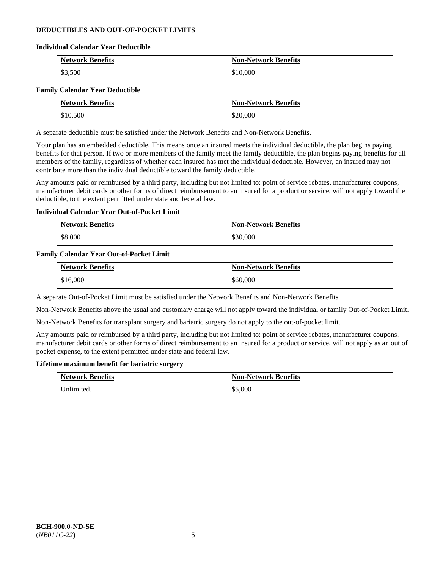### **DEDUCTIBLES AND OUT-OF-POCKET LIMITS**

### **Individual Calendar Year Deductible**

| <b>Network Benefits</b> | <b>Non-Network Benefits</b> |
|-------------------------|-----------------------------|
| \$3,500                 | \$10,000                    |

### **Family Calendar Year Deductible**

| <b>Network Benefits</b> | <b>Non-Network Benefits</b> |
|-------------------------|-----------------------------|
| \$10,500                | \$20,000                    |

A separate deductible must be satisfied under the Network Benefits and Non-Network Benefits.

Your plan has an embedded deductible. This means once an insured meets the individual deductible, the plan begins paying benefits for that person. If two or more members of the family meet the family deductible, the plan begins paying benefits for all members of the family, regardless of whether each insured has met the individual deductible. However, an insured may not contribute more than the individual deductible toward the family deductible.

Any amounts paid or reimbursed by a third party, including but not limited to: point of service rebates, manufacturer coupons, manufacturer debit cards or other forms of direct reimbursement to an insured for a product or service, will not apply toward the deductible, to the extent permitted under state and federal law.

### **Individual Calendar Year Out-of-Pocket Limit**

| <b>Network Benefits</b> | <b>Non-Network Benefits</b> |
|-------------------------|-----------------------------|
| \$8,000                 | \$30,000                    |

### **Family Calendar Year Out-of-Pocket Limit**

| <b>Network Benefits</b> | <b>Non-Network Benefits</b> |
|-------------------------|-----------------------------|
| \$16,000                | \$60,000                    |

A separate Out-of-Pocket Limit must be satisfied under the Network Benefits and Non-Network Benefits.

Non-Network Benefits above the usual and customary charge will not apply toward the individual or family Out-of-Pocket Limit.

Non-Network Benefits for transplant surgery and bariatric surgery do not apply to the out-of-pocket limit.

Any amounts paid or reimbursed by a third party, including but not limited to: point of service rebates, manufacturer coupons, manufacturer debit cards or other forms of direct reimbursement to an insured for a product or service, will not apply as an out of pocket expense, to the extent permitted under state and federal law.

#### **Lifetime maximum benefit for bariatric surgery**

| <b>Network Benefits</b> | <b>Non-Network Benefits</b> |
|-------------------------|-----------------------------|
| Unlimited.              | \$5,000                     |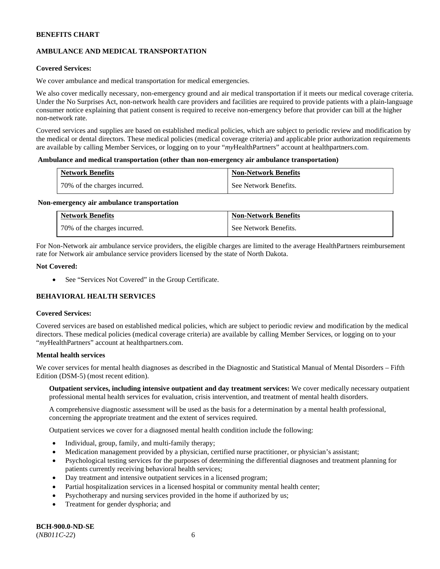# **AMBULANCE AND MEDICAL TRANSPORTATION**

### **Covered Services:**

We cover ambulance and medical transportation for medical emergencies.

We also cover medically necessary, non-emergency ground and air medical transportation if it meets our medical coverage criteria. Under the No Surprises Act, non-network health care providers and facilities are required to provide patients with a plain-language consumer notice explaining that patient consent is required to receive non-emergency before that provider can bill at the higher non-network rate.

Covered services and supplies are based on established medical policies, which are subject to periodic review and modification by the medical or dental directors. These medical policies (medical coverage criteria) and applicable prior authorization requirements are available by calling Member Services, or logging on to your "*my*HealthPartners" account a[t healthpartners.com.](http://www.healthpartners.com/)

#### **Ambulance and medical transportation (other than non-emergency air ambulance transportation)**

| <b>Network Benefits</b>      | <b>Non-Network Benefits</b> |
|------------------------------|-----------------------------|
| 70% of the charges incurred. | See Network Benefits.       |

#### **Non-emergency air ambulance transportation**

| <b>Network Benefits</b>      | <b>Non-Network Benefits</b> |
|------------------------------|-----------------------------|
| 70% of the charges incurred. | See Network Benefits.       |

For Non-Network air ambulance service providers, the eligible charges are limited to the average HealthPartners reimbursement rate for Network air ambulance service providers licensed by the state of North Dakota.

### **Not Covered:**

• See "Services Not Covered" in the Group Certificate.

# **BEHAVIORAL HEALTH SERVICES**

#### **Covered Services:**

Covered services are based on established medical policies, which are subject to periodic review and modification by the medical directors. These medical policies (medical coverage criteria) are available by calling Member Services, or logging on to your "*my*HealthPartners" account at [healthpartners.com.](http://healthpartners.com/)

### **Mental health services**

We cover services for mental health diagnoses as described in the Diagnostic and Statistical Manual of Mental Disorders - Fifth Edition (DSM-5) (most recent edition).

**Outpatient services, including intensive outpatient and day treatment services:** We cover medically necessary outpatient professional mental health services for evaluation, crisis intervention, and treatment of mental health disorders.

A comprehensive diagnostic assessment will be used as the basis for a determination by a mental health professional, concerning the appropriate treatment and the extent of services required.

Outpatient services we cover for a diagnosed mental health condition include the following:

- Individual, group, family, and multi-family therapy;
- Medication management provided by a physician, certified nurse practitioner, or physician's assistant;
- Psychological testing services for the purposes of determining the differential diagnoses and treatment planning for patients currently receiving behavioral health services;
- Day treatment and intensive outpatient services in a licensed program;
- Partial hospitalization services in a licensed hospital or community mental health center;
- Psychotherapy and nursing services provided in the home if authorized by us;
- Treatment for gender dysphoria; and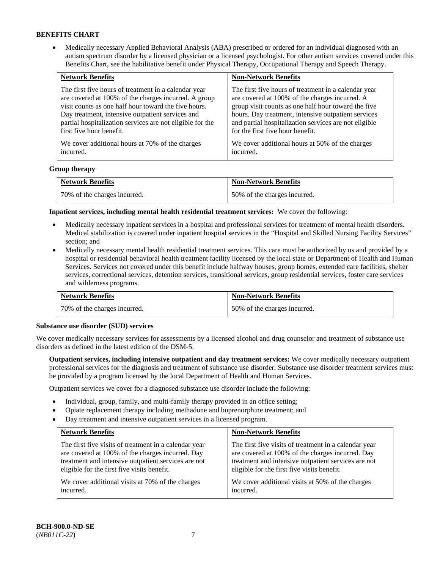• Medically necessary Applied Behavioral Analysis (ABA) prescribed or ordered for an individual diagnosed with an autism spectrum disorder by a licensed physician or a licensed psychologist. For other autism services covered under this Benefits Chart, see the habilitative benefit under Physical Therapy, Occupational Therapy and Speech Therapy.

| <b>Network Benefits</b>                                   | <b>Non-Network Benefits</b>                           |
|-----------------------------------------------------------|-------------------------------------------------------|
| The first five hours of treatment in a calendar year      | The first five hours of treatment in a calendar year  |
| are covered at 100% of the charges incurred. A group      | are covered at 100% of the charges incurred. A        |
| visit counts as one half hour toward the five hours.      | group visit counts as one half hour toward the five   |
| Day treatment, intensive outpatient services and          | hours. Day treatment, intensive outpatient services   |
| partial hospitalization services are not eligible for the | and partial hospitalization services are not eligible |
| first five hour benefit.                                  | for the first five hour benefit.                      |
| We cover additional hours at 70% of the charges           | We cover additional hours at 50% of the charges       |
| incurred.                                                 | incurred.                                             |

### **Group therapy**

| <b>Network Benefits</b>        | <b>Non-Network Benefits</b>  |
|--------------------------------|------------------------------|
| 1 70% of the charges incurred. | 50% of the charges incurred. |

**Inpatient services, including mental health residential treatment services:** We cover the following:

- Medically necessary inpatient services in a hospital and professional services for treatment of mental health disorders. Medical stabilization is covered under inpatient hospital services in the "Hospital and Skilled Nursing Facility Services" section; and
- Medically necessary mental health residential treatment services. This care must be authorized by us and provided by a hospital or residential behavioral health treatment facility licensed by the local state or Department of Health and Human Services. Services not covered under this benefit include halfway houses, group homes, extended care facilities, shelter services, correctional services, detention services, transitional services, group residential services, foster care services and wilderness programs.

| <b>Network Benefits</b>      | <b>Non-Network Benefits</b>  |
|------------------------------|------------------------------|
| 70% of the charges incurred. | 50% of the charges incurred. |

#### **Substance use disorder (SUD) services**

We cover medically necessary services for assessments by a licensed alcohol and drug counselor and treatment of substance use disorders as defined in the latest edition of the DSM-5.

**Outpatient services, including intensive outpatient and day treatment services:** We cover medically necessary outpatient professional services for the diagnosis and treatment of substance use disorder. Substance use disorder treatment services must be provided by a program licensed by the local Department of Health and Human Services.

Outpatient services we cover for a diagnosed substance use disorder include the following:

- Individual, group, family, and multi-family therapy provided in an office setting;
- Opiate replacement therapy including methadone and buprenorphine treatment; and
- Day treatment and intensive outpatient services in a licensed program.

| <b>Network Benefits</b>                               | <b>Non-Network Benefits</b>                           |
|-------------------------------------------------------|-------------------------------------------------------|
| The first five visits of treatment in a calendar year | The first five visits of treatment in a calendar year |
| are covered at 100% of the charges incurred. Day      | are covered at 100% of the charges incurred. Day      |
| treatment and intensive outpatient services are not   | treatment and intensive outpatient services are not   |
| eligible for the first five visits benefit.           | eligible for the first five visits benefit.           |
| We cover additional visits at 70% of the charges      | We cover additional visits at 50% of the charges      |
| incurred.                                             | incurred.                                             |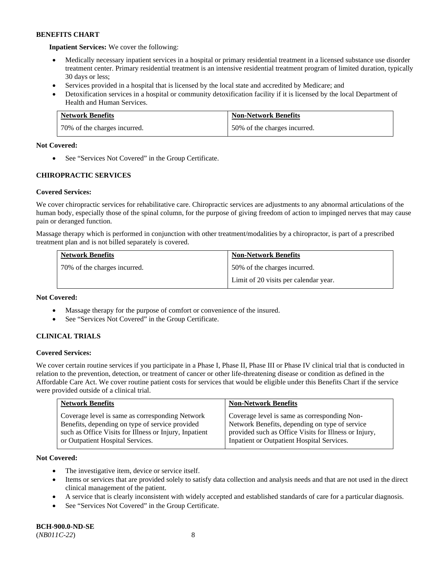**Inpatient Services:** We cover the following:

- Medically necessary inpatient services in a hospital or primary residential treatment in a licensed substance use disorder treatment center. Primary residential treatment is an intensive residential treatment program of limited duration, typically 30 days or less;
- Services provided in a hospital that is licensed by the local state and accredited by Medicare; and
- Detoxification services in a hospital or community detoxification facility if it is licensed by the local Department of Health and Human Services.

| <b>Network Benefits</b>      | <b>Non-Network Benefits</b>  |
|------------------------------|------------------------------|
| 70% of the charges incurred. | 50% of the charges incurred. |

### **Not Covered:**

• See "Services Not Covered" in the Group Certificate.

# **CHIROPRACTIC SERVICES**

# **Covered Services:**

We cover chiropractic services for rehabilitative care. Chiropractic services are adjustments to any abnormal articulations of the human body, especially those of the spinal column, for the purpose of giving freedom of action to impinged nerves that may cause pain or deranged function.

Massage therapy which is performed in conjunction with other treatment/modalities by a chiropractor, is part of a prescribed treatment plan and is not billed separately is covered.

| <b>Network Benefits</b>      | <b>Non-Network Benefits</b>           |
|------------------------------|---------------------------------------|
| 70% of the charges incurred. | 50% of the charges incurred.          |
|                              | Limit of 20 visits per calendar year. |

### **Not Covered:**

- Massage therapy for the purpose of comfort or convenience of the insured.
- See "Services Not Covered" in the Group Certificate.

# **CLINICAL TRIALS**

### **Covered Services:**

We cover certain routine services if you participate in a Phase I, Phase II, Phase III or Phase IV clinical trial that is conducted in relation to the prevention, detection, or treatment of cancer or other life-threatening disease or condition as defined in the Affordable Care Act. We cover routine patient costs for services that would be eligible under this Benefits Chart if the service were provided outside of a clinical trial.

| <b>Network Benefits</b>                                                                                                                                                                          | <b>Non-Network Benefits</b>                                                                                                                                                                           |
|--------------------------------------------------------------------------------------------------------------------------------------------------------------------------------------------------|-------------------------------------------------------------------------------------------------------------------------------------------------------------------------------------------------------|
| Coverage level is same as corresponding Network<br>Benefits, depending on type of service provided<br>such as Office Visits for Illness or Injury, Inpatient<br>or Outpatient Hospital Services. | Coverage level is same as corresponding Non-<br>Network Benefits, depending on type of service<br>provided such as Office Visits for Illness or Injury,<br>Inpatient or Outpatient Hospital Services. |

### **Not Covered:**

- The investigative item, device or service itself.
- Items or services that are provided solely to satisfy data collection and analysis needs and that are not used in the direct clinical management of the patient.
- A service that is clearly inconsistent with widely accepted and established standards of care for a particular diagnosis.
- See "Services Not Covered" in the Group Certificate.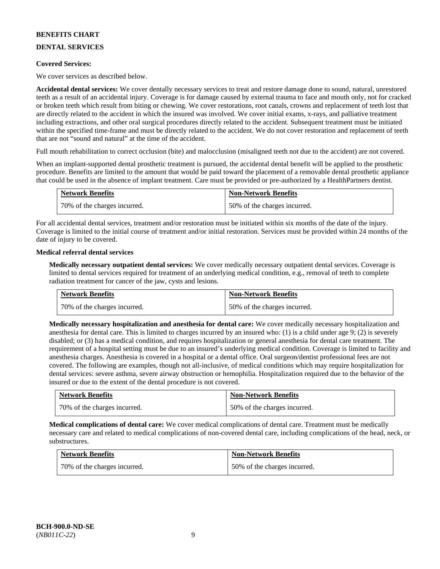# **DENTAL SERVICES**

### **Covered Services:**

We cover services as described below.

**Accidental dental services:** We cover dentally necessary services to treat and restore damage done to sound, natural, unrestored teeth as a result of an accidental injury. Coverage is for damage caused by external trauma to face and mouth only, not for cracked or broken teeth which result from biting or chewing. We cover restorations, root canals, crowns and replacement of teeth lost that are directly related to the accident in which the insured was involved. We cover initial exams, x-rays, and palliative treatment including extractions, and other oral surgical procedures directly related to the accident. Subsequent treatment must be initiated within the specified time-frame and must be directly related to the accident. We do not cover restoration and replacement of teeth that are not "sound and natural" at the time of the accident.

Full mouth rehabilitation to correct occlusion (bite) and malocclusion (misaligned teeth not due to the accident) are not covered.

When an implant-supported dental prosthetic treatment is pursued, the accidental dental benefit will be applied to the prosthetic procedure. Benefits are limited to the amount that would be paid toward the placement of a removable dental prosthetic appliance that could be used in the absence of implant treatment. Care must be provided or pre-authorized by a HealthPartners dentist.

| <b>Network Benefits</b>      | <b>Non-Network Benefits</b>  |
|------------------------------|------------------------------|
| 70% of the charges incurred. | 50% of the charges incurred. |

For all accidental dental services, treatment and/or restoration must be initiated within six months of the date of the injury. Coverage is limited to the initial course of treatment and/or initial restoration. Services must be provided within 24 months of the date of injury to be covered.

### **Medical referral dental services**

**Medically necessary outpatient dental services:** We cover medically necessary outpatient dental services. Coverage is limited to dental services required for treatment of an underlying medical condition, e.g., removal of teeth to complete radiation treatment for cancer of the jaw, cysts and lesions.

| <b>Network Benefits</b>      | <b>Non-Network Benefits</b>  |
|------------------------------|------------------------------|
| 70% of the charges incurred. | 50% of the charges incurred. |

**Medically necessary hospitalization and anesthesia for dental care:** We cover medically necessary hospitalization and anesthesia for dental care. This is limited to charges incurred by an insured who: (1) is a child under age 9; (2) is severely disabled; or (3) has a medical condition, and requires hospitalization or general anesthesia for dental care treatment. The requirement of a hospital setting must be due to an insured's underlying medical condition. Coverage is limited to facility and anesthesia charges. Anesthesia is covered in a hospital or a dental office. Oral surgeon/dentist professional fees are not covered. The following are examples, though not all-inclusive, of medical conditions which may require hospitalization for dental services: severe asthma, severe airway obstruction or hemophilia. Hospitalization required due to the behavior of the insured or due to the extent of the dental procedure is not covered.

| <b>Network Benefits</b>      | <b>Non-Network Benefits</b>  |
|------------------------------|------------------------------|
| 70% of the charges incurred. | 50% of the charges incurred. |

**Medical complications of dental care:** We cover medical complications of dental care. Treatment must be medically necessary care and related to medical complications of non-covered dental care, including complications of the head, neck, or substructures.

| <b>Network Benefits</b>      | <b>Non-Network Benefits</b>  |
|------------------------------|------------------------------|
| 70% of the charges incurred. | 50% of the charges incurred. |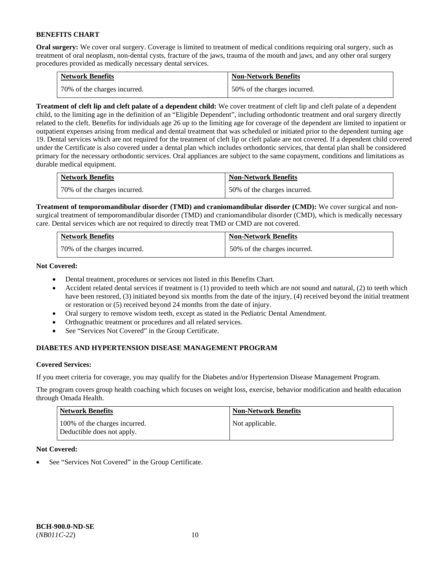**Oral surgery:** We cover oral surgery. Coverage is limited to treatment of medical conditions requiring oral surgery, such as treatment of oral neoplasm, non-dental cysts, fracture of the jaws, trauma of the mouth and jaws, and any other oral surgery procedures provided as medically necessary dental services.

| <b>Network Benefits</b>      | <b>Non-Network Benefits</b>  |
|------------------------------|------------------------------|
| 70% of the charges incurred. | 50% of the charges incurred. |

**Treatment of cleft lip and cleft palate of a dependent child:** We cover treatment of cleft lip and cleft palate of a dependent child, to the limiting age in the definition of an "Eligible Dependent", including orthodontic treatment and oral surgery directly related to the cleft. Benefits for individuals age 26 up to the limiting age for coverage of the dependent are limited to inpatient or outpatient expenses arising from medical and dental treatment that was scheduled or initiated prior to the dependent turning age 19. Dental services which are not required for the treatment of cleft lip or cleft palate are not covered. If a dependent child covered under the Certificate is also covered under a dental plan which includes orthodontic services, that dental plan shall be considered primary for the necessary orthodontic services. Oral appliances are subject to the same copayment, conditions and limitations as durable medical equipment.

| <b>Network Benefits</b>      | <b>Non-Network Benefits</b>  |
|------------------------------|------------------------------|
| 70% of the charges incurred. | 50% of the charges incurred. |

**Treatment of temporomandibular disorder (TMD) and craniomandibular disorder (CMD):** We cover surgical and nonsurgical treatment of temporomandibular disorder (TMD) and craniomandibular disorder (CMD), which is medically necessary care. Dental services which are not required to directly treat TMD or CMD are not covered.

| <b>Network Benefits</b>      | <b>Non-Network Benefits</b>  |
|------------------------------|------------------------------|
| 70% of the charges incurred. | 50% of the charges incurred. |

**Not Covered:** 

- Dental treatment, procedures or services not listed in this Benefits Chart.
- Accident related dental services if treatment is (1) provided to teeth which are not sound and natural, (2) to teeth which have been restored, (3) initiated beyond six months from the date of the injury, (4) received beyond the initial treatment or restoration or (5) received beyond 24 months from the date of injury.
- Oral surgery to remove wisdom teeth, except as stated in the Pediatric Dental Amendment.
- Orthognathic treatment or procedures and all related services.
- See "Services Not Covered" in the Group Certificate.

# **DIABETES AND HYPERTENSION DISEASE MANAGEMENT PROGRAM**

### **Covered Services:**

If you meet criteria for coverage, you may qualify for the Diabetes and/or Hypertension Disease Management Program.

The program covers group health coaching which focuses on weight loss, exercise, behavior modification and health education through Omada Health.

| <b>Network Benefits</b>                                     | <b>Non-Network Benefits</b> |
|-------------------------------------------------------------|-----------------------------|
| 100% of the charges incurred.<br>Deductible does not apply. | Not applicable.             |

### **Not Covered:**

See "Services Not Covered" in the Group Certificate.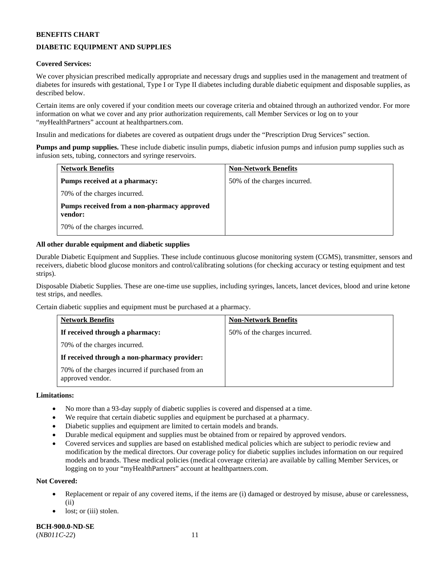# **DIABETIC EQUIPMENT AND SUPPLIES**

### **Covered Services:**

We cover physician prescribed medically appropriate and necessary drugs and supplies used in the management and treatment of diabetes for insureds with gestational, Type I or Type II diabetes including durable diabetic equipment and disposable supplies, as described below.

Certain items are only covered if your condition meets our coverage criteria and obtained through an authorized vendor. For more information on what we cover and any prior authorization requirements, call Member Services or log on to your "*my*HealthPartners" account at [healthpartners.com.](http://www.healthpartners.com/)

Insulin and medications for diabetes are covered as outpatient drugs under the "Prescription Drug Services" section.

**Pumps and pump supplies.** These include diabetic insulin pumps, diabetic infusion pumps and infusion pump supplies such as infusion sets, tubing, connectors and syringe reservoirs.

| <b>Network Benefits</b>                                | <b>Non-Network Benefits</b>  |
|--------------------------------------------------------|------------------------------|
| <b>Pumps received at a pharmacy:</b>                   | 50% of the charges incurred. |
| 70% of the charges incurred.                           |                              |
| Pumps received from a non-pharmacy approved<br>vendor: |                              |
| 70% of the charges incurred.                           |                              |

### **All other durable equipment and diabetic supplies**

Durable Diabetic Equipment and Supplies. These include continuous glucose monitoring system (CGMS), transmitter, sensors and receivers, diabetic blood glucose monitors and control/calibrating solutions (for checking accuracy or testing equipment and test strips).

Disposable Diabetic Supplies. These are one-time use supplies, including syringes, lancets, lancet devices, blood and urine ketone test strips, and needles.

Certain diabetic supplies and equipment must be purchased at a pharmacy.

| <b>Network Benefits</b>                                              | <b>Non-Network Benefits</b>  |
|----------------------------------------------------------------------|------------------------------|
| If received through a pharmacy:                                      | 50% of the charges incurred. |
| 70% of the charges incurred.                                         |                              |
| If received through a non-pharmacy provider:                         |                              |
| 70% of the charges incurred if purchased from an<br>approved vendor. |                              |

### **Limitations:**

- No more than a 93-day supply of diabetic supplies is covered and dispensed at a time.
- We require that certain diabetic supplies and equipment be purchased at a pharmacy.
- Diabetic supplies and equipment are limited to certain models and brands.
- Durable medical equipment and supplies must be obtained from or repaired by approved vendors.
- Covered services and supplies are based on established medical policies which are subject to periodic review and modification by the medical directors. Our coverage policy for diabetic supplies includes information on our required models and brands. These medical policies (medical coverage criteria) are available by calling Member Services, or logging on to your "myHealthPartners" account a[t healthpartners.com.](http://www.healthpartners.com/)

#### **Not Covered:**

- Replacement or repair of any covered items, if the items are (i) damaged or destroyed by misuse, abuse or carelessness, (ii)
- lost; or (iii) stolen.

**BCH-900.0-ND-SE** (*NB011C-22*) 11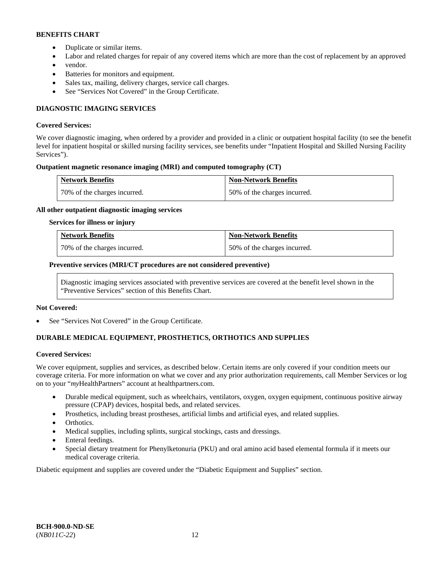- Duplicate or similar items.
- Labor and related charges for repair of any covered items which are more than the cost of replacement by an approved
- vendor.
- Batteries for monitors and equipment.
- Sales tax, mailing, delivery charges, service call charges.
- See "Services Not Covered" in the Group Certificate.

# **DIAGNOSTIC IMAGING SERVICES**

### **Covered Services:**

We cover diagnostic imaging, when ordered by a provider and provided in a clinic or outpatient hospital facility (to see the benefit level for inpatient hospital or skilled nursing facility services, see benefits under "Inpatient Hospital and Skilled Nursing Facility Services").

### **Outpatient magnetic resonance imaging (MRI) and computed tomography (CT)**

| <b>Network Benefits</b>      | <b>Non-Network Benefits</b>  |
|------------------------------|------------------------------|
| 70% of the charges incurred. | 50% of the charges incurred. |

### **All other outpatient diagnostic imaging services**

#### **Services for illness or injury**

| <b>Network Benefits</b>      | <b>Non-Network Benefits</b>  |
|------------------------------|------------------------------|
| 70% of the charges incurred. | 50% of the charges incurred. |

### **Preventive services (MRI/CT procedures are not considered preventive)**

Diagnostic imaging services associated with preventive services are covered at the benefit level shown in the "Preventive Services" section of this Benefits Chart.

#### **Not Covered:**

See "Services Not Covered" in the Group Certificate.

# **DURABLE MEDICAL EQUIPMENT, PROSTHETICS, ORTHOTICS AND SUPPLIES**

#### **Covered Services:**

We cover equipment, supplies and services, as described below. Certain items are only covered if your condition meets our coverage criteria. For more information on what we cover and any prior authorization requirements, call Member Services or log on to your "*my*HealthPartners" account at [healthpartners.com.](http://www.healthpartners.com/)

- Durable medical equipment, such as wheelchairs, ventilators, oxygen, oxygen equipment, continuous positive airway pressure (CPAP) devices, hospital beds, and related services.
- Prosthetics, including breast prostheses, artificial limbs and artificial eyes, and related supplies.
- Orthotics.
- Medical supplies, including splints, surgical stockings, casts and dressings.
- Enteral feedings.
- Special dietary treatment for Phenylketonuria (PKU) and oral amino acid based elemental formula if it meets our medical coverage criteria.

Diabetic equipment and supplies are covered under the "Diabetic Equipment and Supplies" section.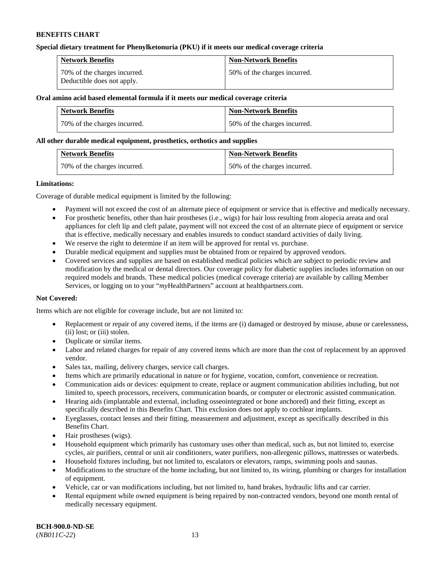### **Special dietary treatment for Phenylketonuria (PKU) if it meets our medical coverage criteria**

| <b>Network Benefits</b>                                    | <b>Non-Network Benefits</b>  |
|------------------------------------------------------------|------------------------------|
| 70% of the charges incurred.<br>Deductible does not apply. | 50% of the charges incurred. |

#### **Oral amino acid based elemental formula if it meets our medical coverage criteria**

| <b>Network Benefits</b>      | <b>Non-Network Benefits</b>  |
|------------------------------|------------------------------|
| 70% of the charges incurred. | 50% of the charges incurred. |

### **All other durable medical equipment, prosthetics, orthotics and supplies**

| <b>Network Benefits</b>      | <b>Non-Network Benefits</b>  |
|------------------------------|------------------------------|
| 70% of the charges incurred. | 50% of the charges incurred. |

### **Limitations:**

Coverage of durable medical equipment is limited by the following:

- Payment will not exceed the cost of an alternate piece of equipment or service that is effective and medically necessary.
- For prosthetic benefits, other than hair prostheses (i.e., wigs) for hair loss resulting from alopecia areata and oral appliances for cleft lip and cleft palate, payment will not exceed the cost of an alternate piece of equipment or service that is effective, medically necessary and enables insureds to conduct standard activities of daily living.
- We reserve the right to determine if an item will be approved for rental vs. purchase.
- Durable medical equipment and supplies must be obtained from or repaired by approved vendors.
- Covered services and supplies are based on established medical policies which are subject to periodic review and modification by the medical or dental directors. Our coverage policy for diabetic supplies includes information on our required models and brands. These medical policies (medical coverage criteria) are available by calling Member Services, or logging on to your "*my*HealthPartners" account at [healthpartners.com.](http://www.healthpartners.com/)

### **Not Covered:**

Items which are not eligible for coverage include, but are not limited to:

- Replacement or repair of any covered items, if the items are (i) damaged or destroyed by misuse, abuse or carelessness, (ii) lost; or (iii) stolen.
- Duplicate or similar items.
- Labor and related charges for repair of any covered items which are more than the cost of replacement by an approved vendor.
- Sales tax, mailing, delivery charges, service call charges.
- Items which are primarily educational in nature or for hygiene, vocation, comfort, convenience or recreation.
- Communication aids or devices: equipment to create, replace or augment communication abilities including, but not limited to, speech processors, receivers, communication boards, or computer or electronic assisted communication.
- Hearing aids (implantable and external, including osseointegrated or bone anchored) and their fitting, except as specifically described in this Benefits Chart. This exclusion does not apply to cochlear implants.
- Eyeglasses, contact lenses and their fitting, measurement and adjustment, except as specifically described in this Benefits Chart.
- Hair prostheses (wigs).
- Household equipment which primarily has customary uses other than medical, such as, but not limited to, exercise cycles, air purifiers, central or unit air conditioners, water purifiers, non-allergenic pillows, mattresses or waterbeds.
- Household fixtures including, but not limited to, escalators or elevators, ramps, swimming pools and saunas.
- Modifications to the structure of the home including, but not limited to, its wiring, plumbing or charges for installation of equipment.
- Vehicle, car or van modifications including, but not limited to, hand brakes, hydraulic lifts and car carrier.
- Rental equipment while owned equipment is being repaired by non-contracted vendors, beyond one month rental of medically necessary equipment.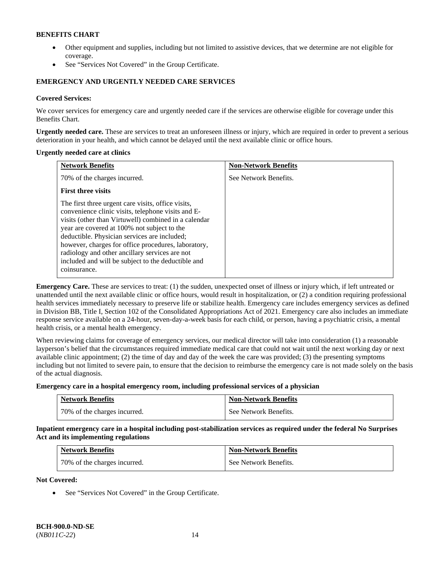- Other equipment and supplies, including but not limited to assistive devices, that we determine are not eligible for coverage.
- See "Services Not Covered" in the Group Certificate.

## **EMERGENCY AND URGENTLY NEEDED CARE SERVICES**

### **Covered Services:**

We cover services for emergency care and urgently needed care if the services are otherwise eligible for coverage under this Benefits Chart.

**Urgently needed care.** These are services to treat an unforeseen illness or injury, which are required in order to prevent a serious deterioration in your health, and which cannot be delayed until the next available clinic or office hours.

#### **Urgently needed care at clinics**

| <b>Network Benefits</b>                                                                                                                                                                                                                                                                                                                                                                                                                        | <b>Non-Network Benefits</b> |
|------------------------------------------------------------------------------------------------------------------------------------------------------------------------------------------------------------------------------------------------------------------------------------------------------------------------------------------------------------------------------------------------------------------------------------------------|-----------------------------|
| 70% of the charges incurred.                                                                                                                                                                                                                                                                                                                                                                                                                   | See Network Benefits.       |
| <b>First three visits</b>                                                                                                                                                                                                                                                                                                                                                                                                                      |                             |
| The first three urgent care visits, office visits,<br>convenience clinic visits, telephone visits and E-<br>visits (other than Virtuwell) combined in a calendar<br>year are covered at 100% not subject to the<br>deductible. Physician services are included;<br>however, charges for office procedures, laboratory,<br>radiology and other ancillary services are not<br>included and will be subject to the deductible and<br>coinsurance. |                             |

**Emergency Care.** These are services to treat: (1) the sudden, unexpected onset of illness or injury which, if left untreated or unattended until the next available clinic or office hours, would result in hospitalization, or (2) a condition requiring professional health services immediately necessary to preserve life or stabilize health. Emergency care includes emergency services as defined in Division BB, Title I, Section 102 of the Consolidated Appropriations Act of 2021. Emergency care also includes an immediate response service available on a 24-hour, seven-day-a-week basis for each child, or person, having a psychiatric crisis, a mental health crisis, or a mental health emergency.

When reviewing claims for coverage of emergency services, our medical director will take into consideration (1) a reasonable layperson's belief that the circumstances required immediate medical care that could not wait until the next working day or next available clinic appointment; (2) the time of day and day of the week the care was provided; (3) the presenting symptoms including but not limited to severe pain, to ensure that the decision to reimburse the emergency care is not made solely on the basis of the actual diagnosis.

**Emergency care in a hospital emergency room, including professional services of a physician**

| <b>Network Benefits</b>      | <b>Non-Network Benefits</b> |
|------------------------------|-----------------------------|
| 70% of the charges incurred. | See Network Benefits.       |

**Inpatient emergency care in a hospital including post-stabilization services as required under the federal No Surprises Act and its implementing regulations**

| <b>Network Benefits</b>      | <b>Non-Network Benefits</b> |
|------------------------------|-----------------------------|
| 70% of the charges incurred. | See Network Benefits.       |

**Not Covered:**

• See "Services Not Covered" in the Group Certificate.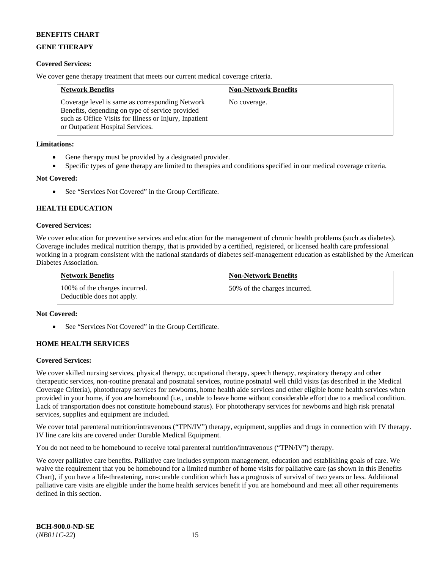# **GENE THERAPY**

### **Covered Services:**

We cover gene therapy treatment that meets our current medical coverage criteria.

| <b>Network Benefits</b>                                                                                                                                                                          | <b>Non-Network Benefits</b> |
|--------------------------------------------------------------------------------------------------------------------------------------------------------------------------------------------------|-----------------------------|
| Coverage level is same as corresponding Network<br>Benefits, depending on type of service provided<br>such as Office Visits for Illness or Injury, Inpatient<br>or Outpatient Hospital Services. | No coverage.                |

### **Limitations:**

- Gene therapy must be provided by a designated provider.
- Specific types of gene therapy are limited to therapies and conditions specified in our medical coverage criteria.

### **Not Covered:**

See "Services Not Covered" in the Group Certificate.

# **HEALTH EDUCATION**

### **Covered Services:**

We cover education for preventive services and education for the management of chronic health problems (such as diabetes). Coverage includes medical nutrition therapy, that is provided by a certified, registered, or licensed health care professional working in a program consistent with the national standards of diabetes self-management education as established by the American Diabetes Association.

| <b>Network Benefits</b>                                     | <b>Non-Network Benefits</b>  |
|-------------------------------------------------------------|------------------------------|
| 100% of the charges incurred.<br>Deductible does not apply. | 50% of the charges incurred. |

### **Not Covered:**

See "Services Not Covered" in the Group Certificate.

# **HOME HEALTH SERVICES**

### **Covered Services:**

We cover skilled nursing services, physical therapy, occupational therapy, speech therapy, respiratory therapy and other therapeutic services, non-routine prenatal and postnatal services, routine postnatal well child visits (as described in the Medical Coverage Criteria), phototherapy services for newborns, home health aide services and other eligible home health services when provided in your home, if you are homebound (i.e., unable to leave home without considerable effort due to a medical condition. Lack of transportation does not constitute homebound status). For phototherapy services for newborns and high risk prenatal services, supplies and equipment are included.

We cover total parenteral nutrition/intravenous ("TPN/IV") therapy, equipment, supplies and drugs in connection with IV therapy. IV line care kits are covered under Durable Medical Equipment.

You do not need to be homebound to receive total parenteral nutrition/intravenous ("TPN/IV") therapy.

We cover palliative care benefits. Palliative care includes symptom management, education and establishing goals of care. We waive the requirement that you be homebound for a limited number of home visits for palliative care (as shown in this Benefits Chart), if you have a life-threatening, non-curable condition which has a prognosis of survival of two years or less. Additional palliative care visits are eligible under the home health services benefit if you are homebound and meet all other requirements defined in this section.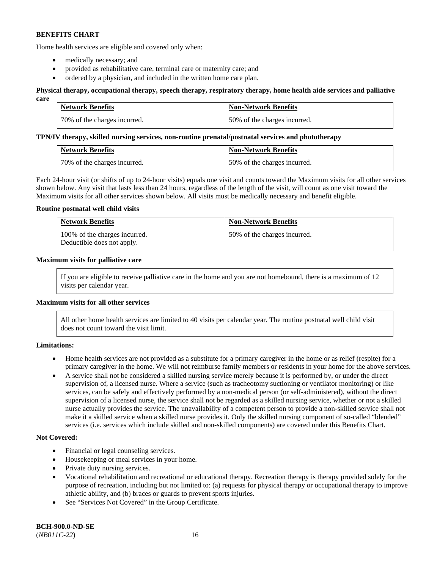Home health services are eligible and covered only when:

- medically necessary; and
- provided as rehabilitative care, terminal care or maternity care; and
- ordered by a physician, and included in the written home care plan.

#### **Physical therapy, occupational therapy, speech therapy, respiratory therapy, home health aide services and palliative care**

| <b>Network Benefits</b>      | <b>Non-Network Benefits</b>  |
|------------------------------|------------------------------|
| 70% of the charges incurred. | 50% of the charges incurred. |

#### **TPN/IV therapy, skilled nursing services, non-routine prenatal/postnatal services and phototherapy**

| <b>Network Benefits</b>      | <b>Non-Network Benefits</b>  |
|------------------------------|------------------------------|
| 70% of the charges incurred. | 50% of the charges incurred. |

Each 24-hour visit (or shifts of up to 24-hour visits) equals one visit and counts toward the Maximum visits for all other services shown below. Any visit that lasts less than 24 hours, regardless of the length of the visit, will count as one visit toward the Maximum visits for all other services shown below. All visits must be medically necessary and benefit eligible.

### **Routine postnatal well child visits**

| <b>Network Benefits</b>                                     | <b>Non-Network Benefits</b>  |
|-------------------------------------------------------------|------------------------------|
| 100% of the charges incurred.<br>Deductible does not apply. | 50% of the charges incurred. |

### **Maximum visits for palliative care**

If you are eligible to receive palliative care in the home and you are not homebound, there is a maximum of 12 visits per calendar year.

### **Maximum visits for all other services**

All other home health services are limited to 40 visits per calendar year. The routine postnatal well child visit does not count toward the visit limit.

#### **Limitations:**

- Home health services are not provided as a substitute for a primary caregiver in the home or as relief (respite) for a primary caregiver in the home. We will not reimburse family members or residents in your home for the above services.
- A service shall not be considered a skilled nursing service merely because it is performed by, or under the direct supervision of, a licensed nurse. Where a service (such as tracheotomy suctioning or ventilator monitoring) or like services, can be safely and effectively performed by a non-medical person (or self-administered), without the direct supervision of a licensed nurse, the service shall not be regarded as a skilled nursing service, whether or not a skilled nurse actually provides the service. The unavailability of a competent person to provide a non-skilled service shall not make it a skilled service when a skilled nurse provides it. Only the skilled nursing component of so-called "blended" services (i.e. services which include skilled and non-skilled components) are covered under this Benefits Chart.

#### **Not Covered:**

- Financial or legal counseling services.
- Housekeeping or meal services in your home.
- Private duty nursing services.
- Vocational rehabilitation and recreational or educational therapy. Recreation therapy is therapy provided solely for the purpose of recreation, including but not limited to: (a) requests for physical therapy or occupational therapy to improve athletic ability, and (b) braces or guards to prevent sports injuries.
- See "Services Not Covered" in the Group Certificate.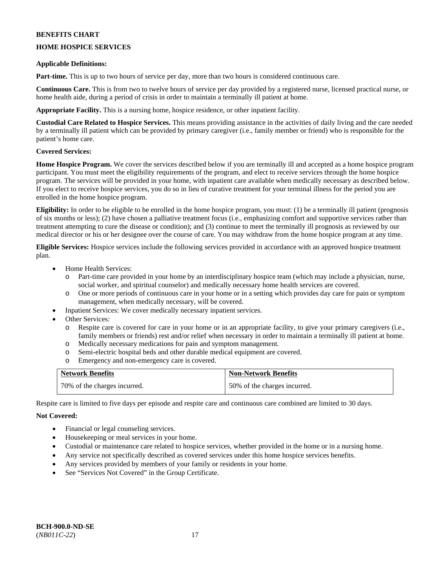## **HOME HOSPICE SERVICES**

### **Applicable Definitions:**

**Part-time.** This is up to two hours of service per day, more than two hours is considered continuous care.

**Continuous Care.** This is from two to twelve hours of service per day provided by a registered nurse, licensed practical nurse, or home health aide, during a period of crisis in order to maintain a terminally ill patient at home.

**Appropriate Facility.** This is a nursing home, hospice residence, or other inpatient facility.

**Custodial Care Related to Hospice Services.** This means providing assistance in the activities of daily living and the care needed by a terminally ill patient which can be provided by primary caregiver (i.e., family member or friend) who is responsible for the patient's home care.

### **Covered Services:**

**Home Hospice Program.** We cover the services described below if you are terminally ill and accepted as a home hospice program participant. You must meet the eligibility requirements of the program, and elect to receive services through the home hospice program. The services will be provided in your home, with inpatient care available when medically necessary as described below. If you elect to receive hospice services, you do so in lieu of curative treatment for your terminal illness for the period you are enrolled in the home hospice program.

**Eligibility:** In order to be eligible to be enrolled in the home hospice program, you must: (1) be a terminally ill patient (prognosis of six months or less); (2) have chosen a palliative treatment focus (i.e., emphasizing comfort and supportive services rather than treatment attempting to cure the disease or condition); and (3) continue to meet the terminally ill prognosis as reviewed by our medical director or his or her designee over the course of care. You may withdraw from the home hospice program at any time.

**Eligible Services:** Hospice services include the following services provided in accordance with an approved hospice treatment plan.

- Home Health Services:
	- o Part-time care provided in your home by an interdisciplinary hospice team (which may include a physician, nurse, social worker, and spiritual counselor) and medically necessary home health services are covered.
	- o One or more periods of continuous care in your home or in a setting which provides day care for pain or symptom management, when medically necessary, will be covered.
- Inpatient Services: We cover medically necessary inpatient services.
- Other Services:
	- o Respite care is covered for care in your home or in an appropriate facility, to give your primary caregivers (i.e., family members or friends) rest and/or relief when necessary in order to maintain a terminally ill patient at home.
	- o Medically necessary medications for pain and symptom management.
	- o Semi-electric hospital beds and other durable medical equipment are covered.
	- Emergency and non-emergency care is covered.

| <b>Network Benefits</b>      | <b>Non-Network Benefits</b>  |
|------------------------------|------------------------------|
| 70% of the charges incurred. | 50% of the charges incurred. |

Respite care is limited to five days per episode and respite care and continuous care combined are limited to 30 days.

### **Not Covered:**

- Financial or legal counseling services.
- Housekeeping or meal services in your home.
- Custodial or maintenance care related to hospice services, whether provided in the home or in a nursing home.
- Any service not specifically described as covered services under this home hospice services benefits.
- Any services provided by members of your family or residents in your home.
- See "Services Not Covered" in the Group Certificate.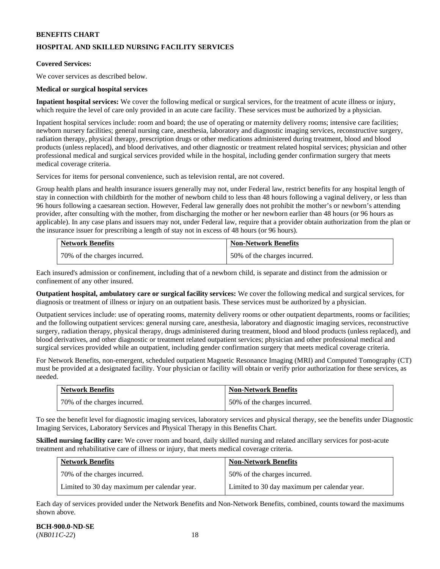# **HOSPITAL AND SKILLED NURSING FACILITY SERVICES**

### **Covered Services:**

We cover services as described below.

### **Medical or surgical hospital services**

**Inpatient hospital services:** We cover the following medical or surgical services, for the treatment of acute illness or injury, which require the level of care only provided in an acute care facility. These services must be authorized by a physician.

Inpatient hospital services include: room and board; the use of operating or maternity delivery rooms; intensive care facilities; newborn nursery facilities; general nursing care, anesthesia, laboratory and diagnostic imaging services, reconstructive surgery, radiation therapy, physical therapy, prescription drugs or other medications administered during treatment, blood and blood products (unless replaced), and blood derivatives, and other diagnostic or treatment related hospital services; physician and other professional medical and surgical services provided while in the hospital, including gender confirmation surgery that meets medical coverage criteria.

Services for items for personal convenience, such as television rental, are not covered.

Group health plans and health insurance issuers generally may not, under Federal law, restrict benefits for any hospital length of stay in connection with childbirth for the mother of newborn child to less than 48 hours following a vaginal delivery, or less than 96 hours following a caesarean section. However, Federal law generally does not prohibit the mother's or newborn's attending provider, after consulting with the mother, from discharging the mother or her newborn earlier than 48 hours (or 96 hours as applicable). In any case plans and issuers may not, under Federal law, require that a provider obtain authorization from the plan or the insurance issuer for prescribing a length of stay not in excess of 48 hours (or 96 hours).

| <b>Network Benefits</b>        | <b>Non-Network Benefits</b>  |
|--------------------------------|------------------------------|
| 1 70% of the charges incurred. | 50% of the charges incurred. |

Each insured's admission or confinement, including that of a newborn child, is separate and distinct from the admission or confinement of any other insured.

**Outpatient hospital, ambulatory care or surgical facility services:** We cover the following medical and surgical services, for diagnosis or treatment of illness or injury on an outpatient basis. These services must be authorized by a physician.

Outpatient services include: use of operating rooms, maternity delivery rooms or other outpatient departments, rooms or facilities; and the following outpatient services: general nursing care, anesthesia, laboratory and diagnostic imaging services, reconstructive surgery, radiation therapy, physical therapy, drugs administered during treatment, blood and blood products (unless replaced), and blood derivatives, and other diagnostic or treatment related outpatient services; physician and other professional medical and surgical services provided while an outpatient, including gender confirmation surgery that meets medical coverage criteria.

For Network Benefits, non-emergent, scheduled outpatient Magnetic Resonance Imaging (MRI) and Computed Tomography (CT) must be provided at a designated facility. Your physician or facility will obtain or verify prior authorization for these services, as needed.

| Network Benefits             | <b>Non-Network Benefits</b>  |
|------------------------------|------------------------------|
| 70% of the charges incurred. | 50% of the charges incurred. |

To see the benefit level for diagnostic imaging services, laboratory services and physical therapy, see the benefits under Diagnostic Imaging Services, Laboratory Services and Physical Therapy in this Benefits Chart.

**Skilled nursing facility care:** We cover room and board, daily skilled nursing and related ancillary services for post-acute treatment and rehabilitative care of illness or injury, that meets medical coverage criteria.

| <b>Network Benefits</b>                      | <b>Non-Network Benefits</b>                  |
|----------------------------------------------|----------------------------------------------|
| 70% of the charges incurred.                 | 50% of the charges incurred.                 |
| Limited to 30 day maximum per calendar year. | Limited to 30 day maximum per calendar year. |

Each day of services provided under the Network Benefits and Non-Network Benefits, combined, counts toward the maximums shown above.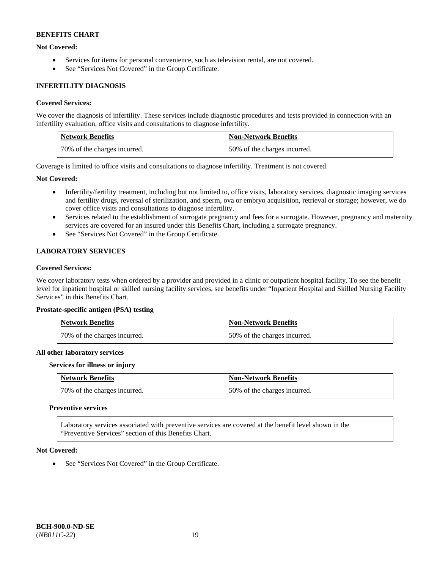### **Not Covered:**

- Services for items for personal convenience, such as television rental, are not covered.
- See "Services Not Covered" in the Group Certificate.

### **INFERTILITY DIAGNOSIS**

### **Covered Services:**

We cover the diagnosis of infertility. These services include diagnostic procedures and tests provided in connection with an infertility evaluation, office visits and consultations to diagnose infertility.

| <b>Network Benefits</b>      | <b>Non-Network Benefits</b>  |
|------------------------------|------------------------------|
| 70% of the charges incurred. | 50% of the charges incurred. |

Coverage is limited to office visits and consultations to diagnose infertility. Treatment is not covered.

### **Not Covered:**

- Infertility/fertility treatment, including but not limited to, office visits, laboratory services, diagnostic imaging services and fertility drugs, reversal of sterilization, and sperm, ova or embryo acquisition, retrieval or storage; however, we do cover office visits and consultations to diagnose infertility.
- Services related to the establishment of surrogate pregnancy and fees for a surrogate. However, pregnancy and maternity services are covered for an insured under this Benefits Chart, including a surrogate pregnancy.
- See "Services Not Covered" in the Group Certificate.

# **LABORATORY SERVICES**

### **Covered Services:**

We cover laboratory tests when ordered by a provider and provided in a clinic or outpatient hospital facility. To see the benefit level for inpatient hospital or skilled nursing facility services, see benefits under "Inpatient Hospital and Skilled Nursing Facility Services" in this Benefits Chart.

#### **Prostate-specific antigen (PSA) testing**

| <b>Network Benefits</b>      | <b>Non-Network Benefits</b>  |
|------------------------------|------------------------------|
| 70% of the charges incurred. | 50% of the charges incurred. |

#### **All other laboratory services**

#### **Services for illness or injury**

| <b>Network Benefits</b>      | <b>Non-Network Benefits</b>  |
|------------------------------|------------------------------|
| 70% of the charges incurred. | 50% of the charges incurred. |

#### **Preventive services**

Laboratory services associated with preventive services are covered at the benefit level shown in the "Preventive Services" section of this Benefits Chart.

#### **Not Covered:**

• See "Services Not Covered" in the Group Certificate.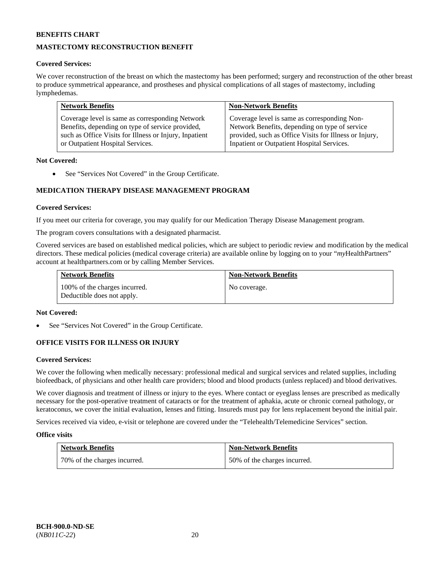# **MASTECTOMY RECONSTRUCTION BENEFIT**

### **Covered Services:**

We cover reconstruction of the breast on which the mastectomy has been performed; surgery and reconstruction of the other breast to produce symmetrical appearance, and prostheses and physical complications of all stages of mastectomy, including lymphedemas.

| <b>Network Benefits</b>                                | <b>Non-Network Benefits</b>                            |
|--------------------------------------------------------|--------------------------------------------------------|
| Coverage level is same as corresponding Network        | Coverage level is same as corresponding Non-           |
| Benefits, depending on type of service provided,       | Network Benefits, depending on type of service         |
| such as Office Visits for Illness or Injury, Inpatient | provided, such as Office Visits for Illness or Injury, |
| or Outpatient Hospital Services.                       | Inpatient or Outpatient Hospital Services.             |

### **Not Covered:**

• See "Services Not Covered" in the Group Certificate.

# **MEDICATION THERAPY DISEASE MANAGEMENT PROGRAM**

### **Covered Services:**

If you meet our criteria for coverage, you may qualify for our Medication Therapy Disease Management program.

The program covers consultations with a designated pharmacist.

Covered services are based on established medical policies, which are subject to periodic review and modification by the medical directors. These medical policies (medical coverage criteria) are available online by logging on to your "*my*HealthPartners" account a[t healthpartners.com](http://www.healthpartners.com/) or by calling Member Services.

| <b>Network Benefits</b>                                     | <b>Non-Network Benefits</b> |
|-------------------------------------------------------------|-----------------------------|
| 100% of the charges incurred.<br>Deductible does not apply. | No coverage.                |

#### **Not Covered:**

See "Services Not Covered" in the Group Certificate.

### **OFFICE VISITS FOR ILLNESS OR INJURY**

#### **Covered Services:**

We cover the following when medically necessary: professional medical and surgical services and related supplies, including biofeedback, of physicians and other health care providers; blood and blood products (unless replaced) and blood derivatives.

We cover diagnosis and treatment of illness or injury to the eyes. Where contact or eyeglass lenses are prescribed as medically necessary for the post-operative treatment of cataracts or for the treatment of aphakia, acute or chronic corneal pathology, or keratoconus, we cover the initial evaluation, lenses and fitting. Insureds must pay for lens replacement beyond the initial pair.

Services received via video, e-visit or telephone are covered under the "Telehealth/Telemedicine Services" section.

#### **Office visits**

| <b>Network Benefits</b>      | <b>Non-Network Benefits</b>  |
|------------------------------|------------------------------|
| 70% of the charges incurred. | 50% of the charges incurred. |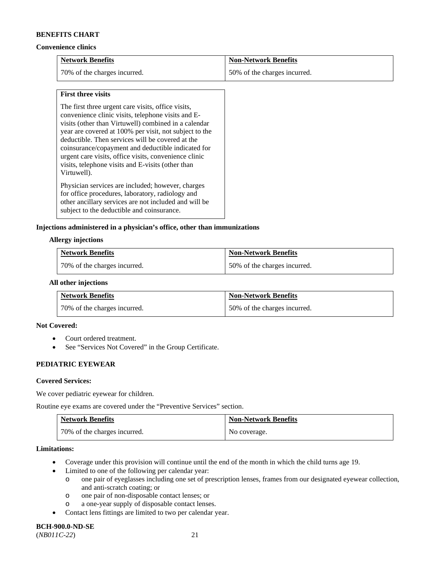#### **Convenience clinics**

| <b>Network Benefits</b>      | <b>Non-Network Benefits</b>  |
|------------------------------|------------------------------|
| 70% of the charges incurred. | 50% of the charges incurred. |

#### **First three visits**

The first three urgent care visits, office visits, convenience clinic visits, telephone visits and Evisits (other than Virtuwell) combined in a calendar year are covered at 100% per visit, not subject to the deductible. Then services will be covered at the coinsurance/copayment and deductible indicated for urgent care visits, office visits, convenience clinic visits, telephone visits and E-visits (other than Virtuwell).

Physician services are included; however, charges for office procedures, laboratory, radiology and other ancillary services are not included and will be subject to the deductible and coinsurance.

### **Injections administered in a physician's office, other than immunizations**

#### **Allergy injections**

| <b>Network Benefits</b>      | <b>Non-Network Benefits</b>  |
|------------------------------|------------------------------|
| 70% of the charges incurred. | 50% of the charges incurred. |

### **All other injections**

| <b>Network Benefits</b>      | <b>Non-Network Benefits</b>  |
|------------------------------|------------------------------|
| 70% of the charges incurred. | 50% of the charges incurred. |

### **Not Covered:**

- Court ordered treatment.
- See "Services Not Covered" in the Group Certificate.

## **PEDIATRIC EYEWEAR**

#### **Covered Services:**

We cover pediatric eyewear for children.

Routine eye exams are covered under the "Preventive Services" section.

| <b>Network Benefits</b>      | <b>Non-Network Benefits</b> |
|------------------------------|-----------------------------|
| 70% of the charges incurred. | No coverage.                |

#### **Limitations:**

- Coverage under this provision will continue until the end of the month in which the child turns age 19.
	- Limited to one of the following per calendar year:
		- o one pair of eyeglasses including one set of prescription lenses, frames from our designated eyewear collection, and anti-scratch coating; or
		- o one pair of non-disposable contact lenses; or
		- o a one-year supply of disposable contact lenses.
- Contact lens fittings are limited to two per calendar year.

# **BCH-900.0-ND-SE**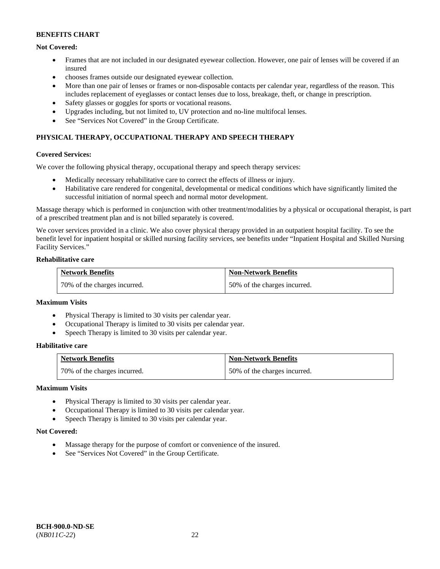### **Not Covered:**

- Frames that are not included in our designated eyewear collection. However, one pair of lenses will be covered if an insured
- chooses frames outside our designated eyewear collection.
- More than one pair of lenses or frames or non-disposable contacts per calendar year, regardless of the reason. This includes replacement of eyeglasses or contact lenses due to loss, breakage, theft, or change in prescription.
- Safety glasses or goggles for sports or vocational reasons.
- Upgrades including, but not limited to, UV protection and no-line multifocal lenses.
- See "Services Not Covered" in the Group Certificate.

## **PHYSICAL THERAPY, OCCUPATIONAL THERAPY AND SPEECH THERAPY**

#### **Covered Services:**

We cover the following physical therapy, occupational therapy and speech therapy services:

- Medically necessary rehabilitative care to correct the effects of illness or injury.
- Habilitative care rendered for congenital, developmental or medical conditions which have significantly limited the successful initiation of normal speech and normal motor development.

Massage therapy which is performed in conjunction with other treatment/modalities by a physical or occupational therapist, is part of a prescribed treatment plan and is not billed separately is covered.

We cover services provided in a clinic. We also cover physical therapy provided in an outpatient hospital facility. To see the benefit level for inpatient hospital or skilled nursing facility services, see benefits under "Inpatient Hospital and Skilled Nursing Facility Services."

#### **Rehabilitative care**

| <b>Network Benefits</b>      | <b>Non-Network Benefits</b>  |
|------------------------------|------------------------------|
| 70% of the charges incurred. | 50% of the charges incurred. |

### **Maximum Visits**

- Physical Therapy is limited to 30 visits per calendar year.
- Occupational Therapy is limited to 30 visits per calendar year.
- Speech Therapy is limited to 30 visits per calendar year.

### **Habilitative care**

| <b>Network Benefits</b>      | <b>Non-Network Benefits</b>  |
|------------------------------|------------------------------|
| 70% of the charges incurred. | 50% of the charges incurred. |

#### **Maximum Visits**

- Physical Therapy is limited to 30 visits per calendar year.
- Occupational Therapy is limited to 30 visits per calendar year.
- Speech Therapy is limited to 30 visits per calendar year.

#### **Not Covered:**

- Massage therapy for the purpose of comfort or convenience of the insured.
- See "Services Not Covered" in the Group Certificate.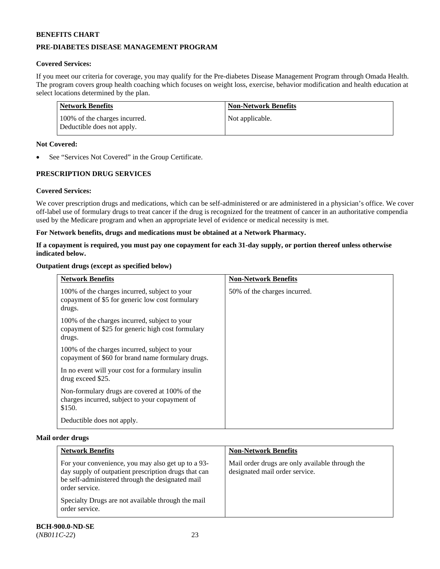# **PRE-DIABETES DISEASE MANAGEMENT PROGRAM**

## **Covered Services:**

If you meet our criteria for coverage, you may qualify for the Pre-diabetes Disease Management Program through Omada Health. The program covers group health coaching which focuses on weight loss, exercise, behavior modification and health education at select locations determined by the plan.

| Network Benefits                                            | <b>Non-Network Benefits</b> |
|-------------------------------------------------------------|-----------------------------|
| 100% of the charges incurred.<br>Deductible does not apply. | Not applicable.             |

### **Not Covered:**

See "Services Not Covered" in the Group Certificate.

# **PRESCRIPTION DRUG SERVICES**

### **Covered Services:**

We cover prescription drugs and medications, which can be self-administered or are administered in a physician's office. We cover off-label use of formulary drugs to treat cancer if the drug is recognized for the treatment of cancer in an authoritative compendia used by the Medicare program and when an appropriate level of evidence or medical necessity is met.

### **For Network benefits, drugs and medications must be obtained at a Network Pharmacy.**

### **If a copayment is required, you must pay one copayment for each 31-day supply, or portion thereof unless otherwise indicated below.**

### **Outpatient drugs (except as specified below)**

| <b>Network Benefits</b>                                                                                      | <b>Non-Network Benefits</b>  |
|--------------------------------------------------------------------------------------------------------------|------------------------------|
| 100% of the charges incurred, subject to your<br>copayment of \$5 for generic low cost formulary<br>drugs.   | 50% of the charges incurred. |
| 100% of the charges incurred, subject to your<br>copayment of \$25 for generic high cost formulary<br>drugs. |                              |
| 100% of the charges incurred, subject to your<br>copayment of \$60 for brand name formulary drugs.           |                              |
| In no event will your cost for a formulary insulin<br>drug exceed \$25.                                      |                              |
| Non-formulary drugs are covered at 100% of the<br>charges incurred, subject to your copayment of<br>\$150.   |                              |
| Deductible does not apply.                                                                                   |                              |

#### **Mail order drugs**

| <b>Network Benefits</b>                                                                                                                                                          | <b>Non-Network Benefits</b>                                                       |
|----------------------------------------------------------------------------------------------------------------------------------------------------------------------------------|-----------------------------------------------------------------------------------|
| For your convenience, you may also get up to a 93-<br>day supply of outpatient prescription drugs that can<br>be self-administered through the designated mail<br>order service. | Mail order drugs are only available through the<br>designated mail order service. |
| Specialty Drugs are not available through the mail<br>order service.                                                                                                             |                                                                                   |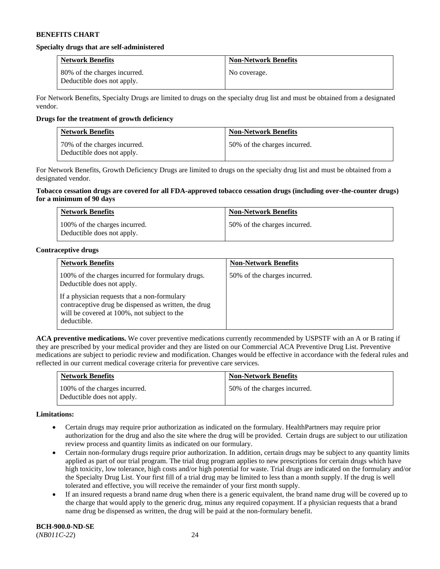#### **Specialty drugs that are self-administered**

| <b>Network Benefits</b>                                    | <b>Non-Network Benefits</b> |
|------------------------------------------------------------|-----------------------------|
| 80% of the charges incurred.<br>Deductible does not apply. | No coverage.                |

For Network Benefits, Specialty Drugs are limited to drugs on the specialty drug list and must be obtained from a designated vendor.

### **Drugs for the treatment of growth deficiency**

| <b>Network Benefits</b>                                    | <b>Non-Network Benefits</b>  |
|------------------------------------------------------------|------------------------------|
| 70% of the charges incurred.<br>Deductible does not apply. | 50% of the charges incurred. |

For Network Benefits, Growth Deficiency Drugs are limited to drugs on the specialty drug list and must be obtained from a designated vendor.

#### **Tobacco cessation drugs are covered for all FDA-approved tobacco cessation drugs (including over-the-counter drugs) for a minimum of 90 days**

| <b>Network Benefits</b>                                     | <b>Non-Network Benefits</b>  |
|-------------------------------------------------------------|------------------------------|
| 100% of the charges incurred.<br>Deductible does not apply. | 50% of the charges incurred. |

### **Contraceptive drugs**

| <b>Network Benefits</b>                                                                                                                                            | <b>Non-Network Benefits</b>  |
|--------------------------------------------------------------------------------------------------------------------------------------------------------------------|------------------------------|
| 100% of the charges incurred for formulary drugs.<br>Deductible does not apply.                                                                                    | 50% of the charges incurred. |
| If a physician requests that a non-formulary<br>contraceptive drug be dispensed as written, the drug<br>will be covered at 100%, not subject to the<br>deductible. |                              |

**ACA preventive medications.** We cover preventive medications currently recommended by USPSTF with an A or B rating if they are prescribed by your medical provider and they are listed on our Commercial ACA Preventive Drug List. Preventive medications are subject to periodic review and modification. Changes would be effective in accordance with the federal rules and reflected in our current medical coverage criteria for preventive care services.

| <b>Network Benefits</b>                                     | <b>Non-Network Benefits</b>  |
|-------------------------------------------------------------|------------------------------|
| 100% of the charges incurred.<br>Deductible does not apply. | 50% of the charges incurred. |

#### **Limitations:**

- Certain drugs may require prior authorization as indicated on the formulary. HealthPartners may require prior authorization for the drug and also the site where the drug will be provided. Certain drugs are subject to our utilization review process and quantity limits as indicated on our formulary.
- Certain non-formulary drugs require prior authorization. In addition, certain drugs may be subject to any quantity limits applied as part of our trial program. The trial drug program applies to new prescriptions for certain drugs which have high toxicity, low tolerance, high costs and/or high potential for waste. Trial drugs are indicated on the formulary and/or the Specialty Drug List. Your first fill of a trial drug may be limited to less than a month supply. If the drug is well tolerated and effective, you will receive the remainder of your first month supply.
- If an insured requests a brand name drug when there is a generic equivalent, the brand name drug will be covered up to the charge that would apply to the generic drug, minus any required copayment. If a physician requests that a brand name drug be dispensed as written, the drug will be paid at the non-formulary benefit.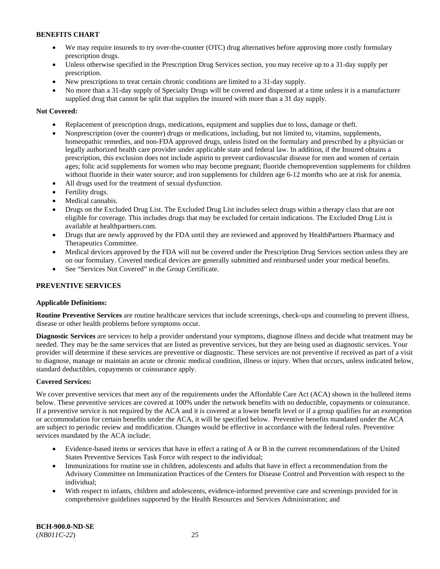- We may require insureds to try over-the-counter (OTC) drug alternatives before approving more costly formulary prescription drugs.
- Unless otherwise specified in the Prescription Drug Services section, you may receive up to a 31-day supply per prescription.
- New prescriptions to treat certain chronic conditions are limited to a 31-day supply.
- No more than a 31-day supply of Specialty Drugs will be covered and dispensed at a time unless it is a manufacturer supplied drug that cannot be split that supplies the insured with more than a 31 day supply.

## **Not Covered:**

- Replacement of prescription drugs, medications, equipment and supplies due to loss, damage or theft.
- Nonprescription (over the counter) drugs or medications, including, but not limited to, vitamins, supplements, homeopathic remedies, and non-FDA approved drugs, unless listed on the formulary and prescribed by a physician or legally authorized health care provider under applicable state and federal law. In addition, if the Insured obtains a prescription, this exclusion does not include aspirin to prevent cardiovascular disease for men and women of certain ages; folic acid supplements for women who may become pregnant; fluoride chemoprevention supplements for children without fluoride in their water source; and iron supplements for children age 6-12 months who are at risk for anemia.
- All drugs used for the treatment of sexual dysfunction.
- Fertility drugs.
- Medical cannabis.
- Drugs on the Excluded Drug List. The Excluded Drug List includes select drugs within a therapy class that are not eligible for coverage. This includes drugs that may be excluded for certain indications. The Excluded Drug List is available at [healthpartners.com.](http://www.healthpartners.com/)
- Drugs that are newly approved by the FDA until they are reviewed and approved by HealthPartners Pharmacy and Therapeutics Committee.
- Medical devices approved by the FDA will not be covered under the Prescription Drug Services section unless they are on our formulary. Covered medical devices are generally submitted and reimbursed under your medical benefits.
- See "Services Not Covered" in the Group Certificate.

## **PREVENTIVE SERVICES**

### **Applicable Definitions:**

**Routine Preventive Services** are routine healthcare services that include screenings, check-ups and counseling to prevent illness, disease or other health problems before symptoms occur.

**Diagnostic Services** are services to help a provider understand your symptoms, diagnose illness and decide what treatment may be needed. They may be the same services that are listed as preventive services, but they are being used as diagnostic services. Your provider will determine if these services are preventive or diagnostic. These services are not preventive if received as part of a visit to diagnose, manage or maintain an acute or chronic medical condition, illness or injury. When that occurs, unless indicated below, standard deductibles, copayments or coinsurance apply.

### **Covered Services:**

We cover preventive services that meet any of the requirements under the Affordable Care Act (ACA) shown in the bulleted items below. These preventive services are covered at 100% under the network benefits with no deductible, copayments or coinsurance. If a preventive service is not required by the ACA and it is covered at a lower benefit level or if a group qualifies for an exemption or accommodation for certain benefits under the ACA, it will be specified below. Preventive benefits mandated under the ACA are subject to periodic review and modification. Changes would be effective in accordance with the federal rules. Preventive services mandated by the ACA include:

- Evidence-based items or services that have in effect a rating of A or B in the current recommendations of the United States Preventive Services Task Force with respect to the individual;
- Immunizations for routine use in children, adolescents and adults that have in effect a recommendation from the Advisory Committee on Immunization Practices of the Centers for Disease Control and Prevention with respect to the individual;
- With respect to infants, children and adolescents, evidence-informed preventive care and screenings provided for in comprehensive guidelines supported by the Health Resources and Services Administration; and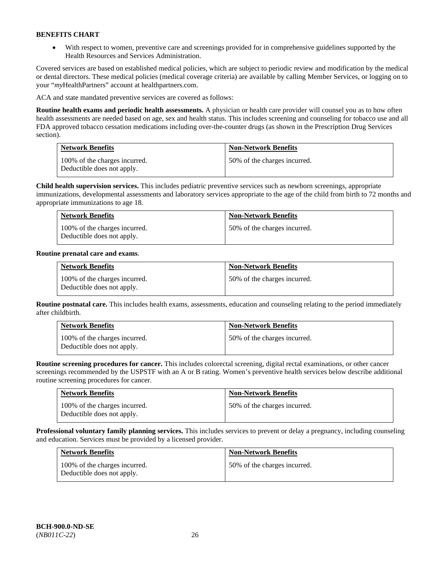• With respect to women, preventive care and screenings provided for in comprehensive guidelines supported by the Health Resources and Services Administration.

Covered services are based on established medical policies, which are subject to periodic review and modification by the medical or dental directors. These medical policies (medical coverage criteria) are available by calling Member Services, or logging on to your "*my*HealthPartners" account at [healthpartners.com.](http://www.healthpartners.com/) 

ACA and state mandated preventive services are covered as follows:

**Routine health exams and periodic health assessments.** A physician or health care provider will counsel you as to how often health assessments are needed based on age, sex and health status. This includes screening and counseling for tobacco use and all FDA approved tobacco cessation medications including over-the-counter drugs (as shown in the Prescription Drug Services section).

| <b>Network Benefits</b>                                     | <b>Non-Network Benefits</b>  |
|-------------------------------------------------------------|------------------------------|
| 100% of the charges incurred.<br>Deductible does not apply. | 50% of the charges incurred. |

**Child health supervision services.** This includes pediatric preventive services such as newborn screenings, appropriate immunizations, developmental assessments and laboratory services appropriate to the age of the child from birth to 72 months and appropriate immunizations to age 18.

| <b>Network Benefits</b>                                     | <b>Non-Network Benefits</b>  |
|-------------------------------------------------------------|------------------------------|
| 100% of the charges incurred.<br>Deductible does not apply. | 50% of the charges incurred. |

### **Routine prenatal care and exams**.

| <b>Network Benefits</b>                                     | <b>Non-Network Benefits</b>  |
|-------------------------------------------------------------|------------------------------|
| 100% of the charges incurred.<br>Deductible does not apply. | 50% of the charges incurred. |

**Routine postnatal care.** This includes health exams, assessments, education and counseling relating to the period immediately after childbirth.

| <b>Network Benefits</b>                                     | <b>Non-Network Benefits</b>  |
|-------------------------------------------------------------|------------------------------|
| 100% of the charges incurred.<br>Deductible does not apply. | 50% of the charges incurred. |

**Routine screening procedures for cancer.** This includes colorectal screening, digital rectal examinations, or other cancer screenings recommended by the USPSTF with an A or B rating. Women's preventive health services below describe additional routine screening procedures for cancer.

| <b>Network Benefits</b>                                     | <b>Non-Network Benefits</b>  |
|-------------------------------------------------------------|------------------------------|
| 100% of the charges incurred.<br>Deductible does not apply. | 50% of the charges incurred. |

**Professional voluntary family planning services.** This includes services to prevent or delay a pregnancy, including counseling and education. Services must be provided by a licensed provider.

| <b>Network Benefits</b>                                     | <b>Non-Network Benefits</b>  |
|-------------------------------------------------------------|------------------------------|
| 100% of the charges incurred.<br>Deductible does not apply. | 50% of the charges incurred. |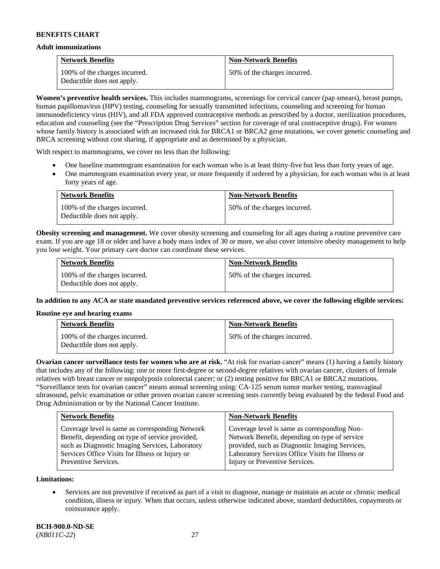#### **Adult immunizations**

| <b>Network Benefits</b>                                     | <b>Non-Network Benefits</b>  |
|-------------------------------------------------------------|------------------------------|
| 100% of the charges incurred.<br>Deductible does not apply. | 50% of the charges incurred. |

**Women's preventive health services.** This includes mammograms, screenings for cervical cancer (pap smears), breast pumps, human papillomavirus (HPV) testing, counseling for sexually transmitted infections, counseling and screening for human immunodeficiency virus (HIV), and all FDA approved contraceptive methods as prescribed by a doctor, sterilization procedures, education and counseling (see the "Prescription Drug Services" section for coverage of oral contraceptive drugs). For women whose family history is associated with an increased risk for BRCA1 or BRCA2 gene mutations, we cover genetic counseling and BRCA screening without cost sharing, if appropriate and as determined by a physician.

With respect to mammograms, we cover no less than the following:

- One baseline mammogram examination for each woman who is at least thirty-five but less than forty years of age.
- One mammogram examination every year, or more frequently if ordered by a physician, for each woman who is at least forty years of age.

| <b>Network Benefits</b>                                     | <b>Non-Network Benefits</b>  |
|-------------------------------------------------------------|------------------------------|
| 100% of the charges incurred.<br>Deductible does not apply. | 50% of the charges incurred. |

**Obesity screening and management.** We cover obesity screening and counseling for all ages during a routine preventive care exam. If you are age 18 or older and have a body mass index of 30 or more, we also cover intensive obesity management to help you lose weight. Your primary care doctor can coordinate these services.

| <b>Network Benefits</b>                                     | <b>Non-Network Benefits</b>  |
|-------------------------------------------------------------|------------------------------|
| 100% of the charges incurred.<br>Deductible does not apply. | 50% of the charges incurred. |

**In addition to any ACA or state mandated preventive services referenced above, we cover the following eligible services:**

#### **Routine eye and hearing exams**

| <b>Network Benefits</b>                                     | <b>Non-Network Benefits</b>  |
|-------------------------------------------------------------|------------------------------|
| 100% of the charges incurred.<br>Deductible does not apply. | 50% of the charges incurred. |

**Ovarian cancer surveillance tests for women who are at risk.** "At risk for ovarian cancer" means (1) having a family history that includes any of the following: one or more first-degree or second-degree relatives with ovarian cancer, clusters of female relatives with breast cancer or nonpolyposis colorectal cancer; or (2) testing positive for BRCA1 or BRCA2 mutations. "Surveillance tests for ovarian cancer" means annual screening using: CA-125 serum tumor marker testing, transvaginal ultrasound, pelvic examination or other proven ovarian cancer screening tests currently being evaluated by the federal Food and Drug Administration or by the National Cancer Institute.

| Coverage level is same as corresponding Network<br>Coverage level is same as corresponding Non-<br>Network Benefit, depending on type of service<br>Benefit, depending on type of service provided,<br>provided, such as Diagnostic Imaging Services,<br>such as Diagnostic Imaging Services, Laboratory<br>Laboratory Services Office Visits for Illness or<br>Services Office Visits for Illness or Injury or | <b>Network Benefits</b> | <b>Non-Network Benefits</b>    |
|-----------------------------------------------------------------------------------------------------------------------------------------------------------------------------------------------------------------------------------------------------------------------------------------------------------------------------------------------------------------------------------------------------------------|-------------------------|--------------------------------|
|                                                                                                                                                                                                                                                                                                                                                                                                                 | Preventive Services.    | Injury or Preventive Services. |

**Limitations:**

• Services are not preventive if received as part of a visit to diagnose, manage or maintain an acute or chronic medical condition, illness or injury. When that occurs, unless otherwise indicated above, standard deductibles, copayments or coinsurance apply.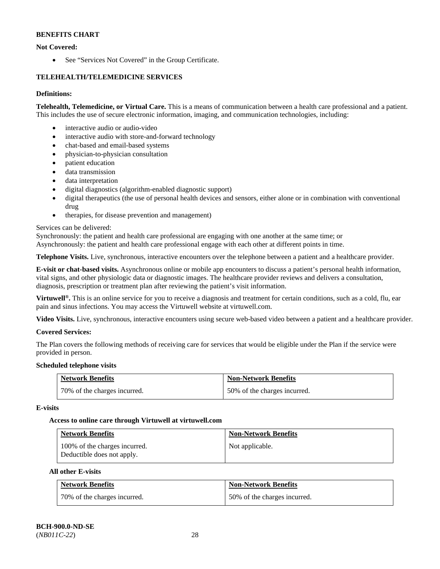# **Not Covered:**

• See "Services Not Covered" in the Group Certificate.

# **TELEHEALTH/TELEMEDICINE SERVICES**

### **Definitions:**

**Telehealth, Telemedicine, or Virtual Care.** This is a means of communication between a health care professional and a patient. This includes the use of secure electronic information, imaging, and communication technologies, including:

- interactive audio or audio-video
- interactive audio with store-and-forward technology
- chat-based and email-based systems
- physician-to-physician consultation
- patient education
- data transmission
- data interpretation
- digital diagnostics (algorithm-enabled diagnostic support)
- digital therapeutics (the use of personal health devices and sensors, either alone or in combination with conventional drug
- therapies, for disease prevention and management)

### Services can be delivered:

Synchronously: the patient and health care professional are engaging with one another at the same time; or

Asynchronously: the patient and health care professional engage with each other at different points in time.

**Telephone Visits.** Live, synchronous, interactive encounters over the telephone between a patient and a healthcare provider.

**E-visit or chat-based visits.** Asynchronous online or mobile app encounters to discuss a patient's personal health information, vital signs, and other physiologic data or diagnostic images. The healthcare provider reviews and delivers a consultation, diagnosis, prescription or treatment plan after reviewing the patient's visit information.

**Virtuwell<sup>®</sup>.** This is an online service for you to receive a diagnosis and treatment for certain conditions, such as a cold, flu, ear pain and sinus infections. You may access the Virtuwell website at [virtuwell.com.](https://www.virtuwell.com/)

**Video Visits.** Live, synchronous, interactive encounters using secure web-based video between a patient and a healthcare provider.

### **Covered Services:**

The Plan covers the following methods of receiving care for services that would be eligible under the Plan if the service were provided in person.

### **Scheduled telephone visits**

| <b>Network Benefits</b>      | <b>Non-Network Benefits</b>  |
|------------------------------|------------------------------|
| 70% of the charges incurred. | 50% of the charges incurred. |

### **E-visits**

### **Access to online care through Virtuwell at [virtuwell.com](https://www.virtuwell.com/)**

| <b>Network Benefits</b>                                     | <b>Non-Network Benefits</b> |
|-------------------------------------------------------------|-----------------------------|
| 100% of the charges incurred.<br>Deductible does not apply. | Not applicable.             |

### **All other E-visits**

| <b>Network Benefits</b>      | <b>Non-Network Benefits</b>  |
|------------------------------|------------------------------|
| 70% of the charges incurred. | 50% of the charges incurred. |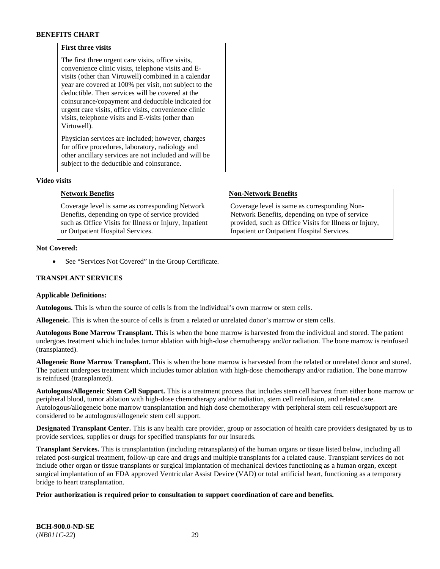### **First three visits**

The first three urgent care visits, office visits, convenience clinic visits, telephone visits and Evisits (other than Virtuwell) combined in a calendar year are covered at 100% per visit, not subject to the deductible. Then services will be covered at the coinsurance/copayment and deductible indicated for urgent care visits, office visits, convenience clinic visits, telephone visits and E-visits (other than Virtuwell).

Physician services are included; however, charges for office procedures, laboratory, radiology and other ancillary services are not included and will be subject to the deductible and coinsurance.

#### **Video visits**

| <b>Network Benefits</b>                                | <b>Non-Network Benefits</b>                            |
|--------------------------------------------------------|--------------------------------------------------------|
| Coverage level is same as corresponding Network        | Coverage level is same as corresponding Non-           |
| Benefits, depending on type of service provided        | Network Benefits, depending on type of service         |
| such as Office Visits for Illness or Injury, Inpatient | provided, such as Office Visits for Illness or Injury, |
| or Outpatient Hospital Services.                       | Inpatient or Outpatient Hospital Services.             |

#### **Not Covered:**

See "Services Not Covered" in the Group Certificate.

### **TRANSPLANT SERVICES**

#### **Applicable Definitions:**

**Autologous.** This is when the source of cells is from the individual's own marrow or stem cells.

**Allogeneic.** This is when the source of cells is from a related or unrelated donor's marrow or stem cells.

**Autologous Bone Marrow Transplant.** This is when the bone marrow is harvested from the individual and stored. The patient undergoes treatment which includes tumor ablation with high-dose chemotherapy and/or radiation. The bone marrow is reinfused (transplanted).

**Allogeneic Bone Marrow Transplant.** This is when the bone marrow is harvested from the related or unrelated donor and stored. The patient undergoes treatment which includes tumor ablation with high-dose chemotherapy and/or radiation. The bone marrow is reinfused (transplanted).

**Autologous/Allogeneic Stem Cell Support.** This is a treatment process that includes stem cell harvest from either bone marrow or peripheral blood, tumor ablation with high-dose chemotherapy and/or radiation, stem cell reinfusion, and related care. Autologous/allogeneic bone marrow transplantation and high dose chemotherapy with peripheral stem cell rescue/support are considered to be autologous/allogeneic stem cell support.

**Designated Transplant Center.** This is any health care provider, group or association of health care providers designated by us to provide services, supplies or drugs for specified transplants for our insureds.

**Transplant Services.** This is transplantation (including retransplants) of the human organs or tissue listed below, including all related post-surgical treatment, follow-up care and drugs and multiple transplants for a related cause. Transplant services do not include other organ or tissue transplants or surgical implantation of mechanical devices functioning as a human organ, except surgical implantation of an FDA approved Ventricular Assist Device (VAD) or total artificial heart, functioning as a temporary bridge to heart transplantation.

### **Prior authorization is required prior to consultation to support coordination of care and benefits.**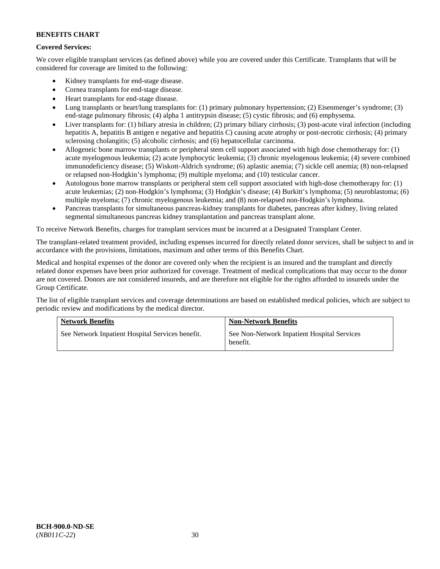### **Covered Services:**

We cover eligible transplant services (as defined above) while you are covered under this Certificate. Transplants that will be considered for coverage are limited to the following:

- Kidney transplants for end-stage disease.
- Cornea transplants for end-stage disease.
- Heart transplants for end-stage disease.
- Lung transplants or heart/lung transplants for: (1) primary pulmonary hypertension; (2) Eisenmenger's syndrome; (3) end-stage pulmonary fibrosis; (4) alpha 1 antitrypsin disease; (5) cystic fibrosis; and (6) emphysema.
- Liver transplants for: (1) biliary atresia in children; (2) primary biliary cirrhosis; (3) post-acute viral infection (including hepatitis A, hepatitis B antigen e negative and hepatitis C) causing acute atrophy or post-necrotic cirrhosis; (4) primary sclerosing cholangitis; (5) alcoholic cirrhosis; and (6) hepatocellular carcinoma.
- Allogeneic bone marrow transplants or peripheral stem cell support associated with high dose chemotherapy for: (1) acute myelogenous leukemia; (2) acute lymphocytic leukemia; (3) chronic myelogenous leukemia; (4) severe combined immunodeficiency disease; (5) Wiskott-Aldrich syndrome; (6) aplastic anemia; (7) sickle cell anemia; (8) non-relapsed or relapsed non-Hodgkin's lymphoma; (9) multiple myeloma; and (10) testicular cancer.
- Autologous bone marrow transplants or peripheral stem cell support associated with high-dose chemotherapy for: (1) acute leukemias; (2) non-Hodgkin's lymphoma; (3) Hodgkin's disease; (4) Burkitt's lymphoma; (5) neuroblastoma; (6) multiple myeloma; (7) chronic myelogenous leukemia; and (8) non-relapsed non-Hodgkin's lymphoma.
- Pancreas transplants for simultaneous pancreas-kidney transplants for diabetes, pancreas after kidney, living related segmental simultaneous pancreas kidney transplantation and pancreas transplant alone.

To receive Network Benefits, charges for transplant services must be incurred at a Designated Transplant Center.

The transplant-related treatment provided, including expenses incurred for directly related donor services, shall be subject to and in accordance with the provisions, limitations, maximum and other terms of this Benefits Chart.

Medical and hospital expenses of the donor are covered only when the recipient is an insured and the transplant and directly related donor expenses have been prior authorized for coverage. Treatment of medical complications that may occur to the donor are not covered. Donors are not considered insureds, and are therefore not eligible for the rights afforded to insureds under the Group Certificate.

The list of eligible transplant services and coverage determinations are based on established medical policies, which are subject to periodic review and modifications by the medical director.

| <b>Network Benefits</b>                          | <b>Non-Network Benefits</b>                             |
|--------------------------------------------------|---------------------------------------------------------|
| See Network Inpatient Hospital Services benefit. | See Non-Network Inpatient Hospital Services<br>benefit. |